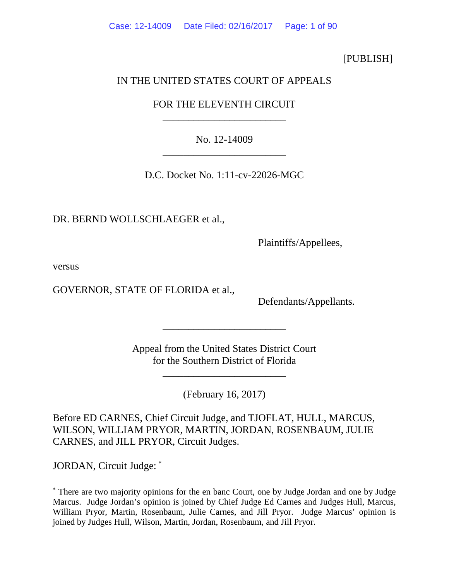[PUBLISH]

# IN THE UNITED STATES COURT OF APPEALS

# FOR THE ELEVENTH CIRCUIT \_\_\_\_\_\_\_\_\_\_\_\_\_\_\_\_\_\_\_\_\_\_\_\_

# No. 12-14009 \_\_\_\_\_\_\_\_\_\_\_\_\_\_\_\_\_\_\_\_\_\_\_\_

D.C. Docket No. 1:11-cv-22026-MGC

DR. BERND WOLLSCHLAEGER et al.,

Plaintiffs/Appellees,

versus

GOVERNOR, STATE OF FLORIDA et al.,

Defendants/Appellants.

Appeal from the United States District Court for the Southern District of Florida

\_\_\_\_\_\_\_\_\_\_\_\_\_\_\_\_\_\_\_\_\_\_\_\_

\_\_\_\_\_\_\_\_\_\_\_\_\_\_\_\_\_\_\_\_\_\_\_\_

(February 16, 2017)

Before ED CARNES, Chief Circuit Judge, and TJOFLAT, HULL, MARCUS, WILSON, WILLIAM PRYOR, MARTIN, JORDAN, ROSENBAUM, JULIE CARNES, and JILL PRYOR, Circuit Judges.

JORDAN, Circuit Judge: [∗](#page-0-0)

<span id="page-0-0"></span><sup>∗</sup> There are two majority opinions for the en banc Court, one by Judge Jordan and one by Judge Marcus. Judge Jordan's opinion is joined by Chief Judge Ed Carnes and Judges Hull, Marcus, William Pryor, Martin, Rosenbaum, Julie Carnes, and Jill Pryor. Judge Marcus' opinion is joined by Judges Hull, Wilson, Martin, Jordan, Rosenbaum, and Jill Pryor.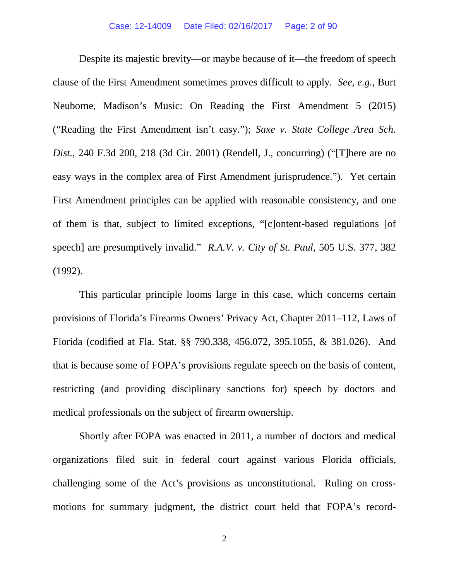Despite its majestic brevity—or maybe because of it—the freedom of speech clause of the First Amendment sometimes proves difficult to apply. *See, e.g.*, Burt Neuborne, Madison's Music: On Reading the First Amendment 5 (2015) ("Reading the First Amendment isn't easy."); *Saxe v. State College Area Sch. Dist.*, 240 F.3d 200, 218 (3d Cir. 2001) (Rendell, J., concurring) ("[T]here are no easy ways in the complex area of First Amendment jurisprudence."). Yet certain First Amendment principles can be applied with reasonable consistency, and one of them is that, subject to limited exceptions, "[c]ontent-based regulations [of speech] are presumptively invalid." *R.A.V. v. City of St. Paul*, 505 U.S. 377, 382 (1992).

This particular principle looms large in this case, which concerns certain provisions of Florida's Firearms Owners' Privacy Act, Chapter 2011–112, Laws of Florida (codified at Fla. Stat. §§ 790.338, 456.072, 395.1055, & 381.026). And that is because some of FOPA's provisions regulate speech on the basis of content, restricting (and providing disciplinary sanctions for) speech by doctors and medical professionals on the subject of firearm ownership.

Shortly after FOPA was enacted in 2011, a number of doctors and medical organizations filed suit in federal court against various Florida officials, challenging some of the Act's provisions as unconstitutional. Ruling on crossmotions for summary judgment, the district court held that FOPA's record-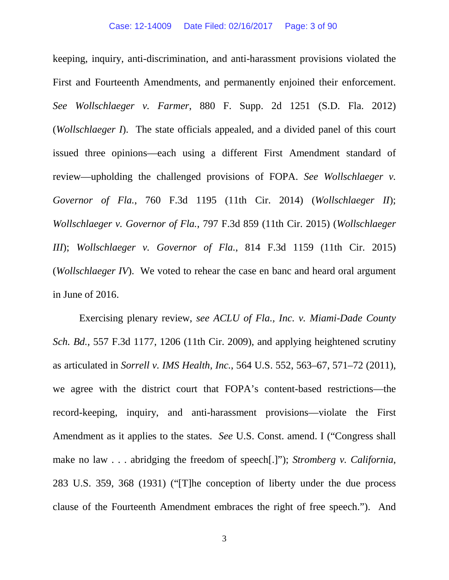keeping, inquiry, anti-discrimination, and anti-harassment provisions violated the First and Fourteenth Amendments, and permanently enjoined their enforcement. *See Wollschlaeger v. Farmer*, 880 F. Supp. 2d 1251 (S.D. Fla. 2012) (*Wollschlaeger I*). The state officials appealed, and a divided panel of this court issued three opinions—each using a different First Amendment standard of review—upholding the challenged provisions of FOPA. *See Wollschlaeger v. Governor of Fla.*, 760 F.3d 1195 (11th Cir. 2014) (*Wollschlaeger II*); *Wollschlaeger v. Governor of Fla.*, 797 F.3d 859 (11th Cir. 2015) (*Wollschlaeger III*); *Wollschlaeger v. Governor of Fla.*, 814 F.3d 1159 (11th Cir. 2015) (*Wollschlaeger IV*). We voted to rehear the case en banc and heard oral argument in June of 2016.

Exercising plenary review, *see ACLU of Fla., Inc. v. Miami-Dade County Sch. Bd.,* 557 F.3d 1177, 1206 (11th Cir. 2009), and applying heightened scrutiny as articulated in *Sorrell v. IMS Health, Inc.*, 564 U.S. 552, 563–67, 571–72 (2011), we agree with the district court that FOPA's content-based restrictions—the record-keeping, inquiry, and anti-harassment provisions—violate the First Amendment as it applies to the states. *See* U.S. Const. amend. I ("Congress shall make no law . . . abridging the freedom of speech[.]"); *Stromberg v. California*, 283 U.S. 359, 368 (1931) ("[T]he conception of liberty under the due process clause of the Fourteenth Amendment embraces the right of free speech.").And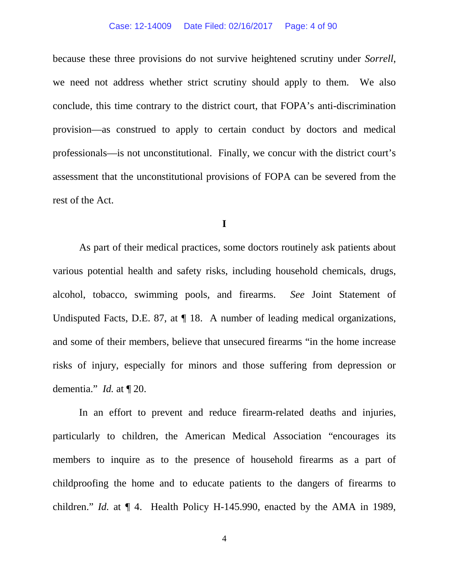#### Case: 12-14009 Date Filed: 02/16/2017 Page: 4 of 90

because these three provisions do not survive heightened scrutiny under *Sorrell*, we need not address whether strict scrutiny should apply to them. We also conclude, this time contrary to the district court, that FOPA's anti-discrimination provision—as construed to apply to certain conduct by doctors and medical professionals—is not unconstitutional. Finally, we concur with the district court's assessment that the unconstitutional provisions of FOPA can be severed from the rest of the Act.

**I**

As part of their medical practices, some doctors routinely ask patients about various potential health and safety risks, including household chemicals, drugs, alcohol, tobacco, swimming pools, and firearms. *See* Joint Statement of Undisputed Facts, D.E. 87, at  $\P$  18. A number of leading medical organizations, and some of their members, believe that unsecured firearms "in the home increase risks of injury, especially for minors and those suffering from depression or dementia." *Id.* at ¶ 20.

In an effort to prevent and reduce firearm-related deaths and injuries, particularly to children, the American Medical Association "encourages its members to inquire as to the presence of household firearms as a part of childproofing the home and to educate patients to the dangers of firearms to children." *Id.* at  $\P$  4. Health Policy H-145.990, enacted by the AMA in 1989,

4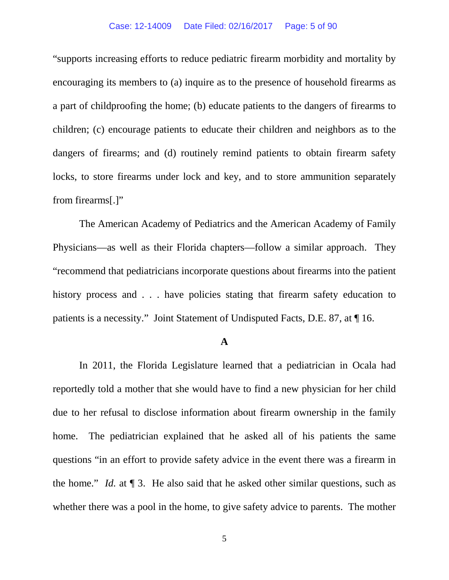"supports increasing efforts to reduce pediatric firearm morbidity and mortality by encouraging its members to (a) inquire as to the presence of household firearms as a part of childproofing the home; (b) educate patients to the dangers of firearms to children; (c) encourage patients to educate their children and neighbors as to the dangers of firearms; and (d) routinely remind patients to obtain firearm safety locks, to store firearms under lock and key, and to store ammunition separately from firearms[.]"

The American Academy of Pediatrics and the American Academy of Family Physicians—as well as their Florida chapters—follow a similar approach. They "recommend that pediatricians incorporate questions about firearms into the patient history process and . . . have policies stating that firearm safety education to patients is a necessity." Joint Statement of Undisputed Facts, D.E. 87, at ¶ 16.

## **A**

In 2011, the Florida Legislature learned that a pediatrician in Ocala had reportedly told a mother that she would have to find a new physician for her child due to her refusal to disclose information about firearm ownership in the family home. The pediatrician explained that he asked all of his patients the same questions "in an effort to provide safety advice in the event there was a firearm in the home." *Id.* at ¶ 3. He also said that he asked other similar questions, such as whether there was a pool in the home, to give safety advice to parents. The mother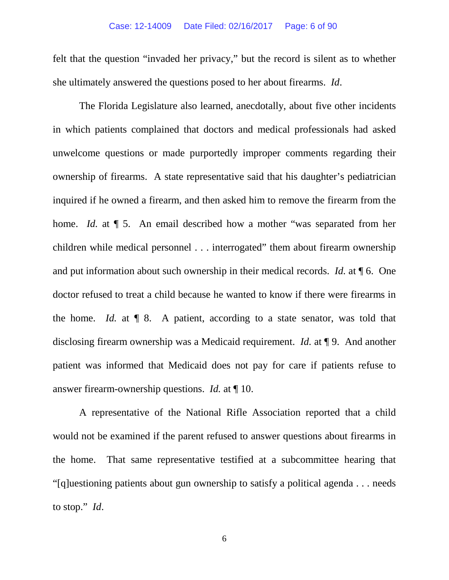felt that the question "invaded her privacy," but the record is silent as to whether she ultimately answered the questions posed to her about firearms. *Id*.

The Florida Legislature also learned, anecdotally, about five other incidents in which patients complained that doctors and medical professionals had asked unwelcome questions or made purportedly improper comments regarding their ownership of firearms. A state representative said that his daughter's pediatrician inquired if he owned a firearm, and then asked him to remove the firearm from the home. *Id.* at  $\P$  5. An email described how a mother "was separated from her children while medical personnel . . . interrogated" them about firearm ownership and put information about such ownership in their medical records. *Id.* at ¶ 6. One doctor refused to treat a child because he wanted to know if there were firearms in the home. *Id.* at ¶ 8. A patient, according to a state senator, was told that disclosing firearm ownership was a Medicaid requirement. *Id.* at ¶ 9. And another patient was informed that Medicaid does not pay for care if patients refuse to answer firearm-ownership questions. *Id.* at ¶ 10.

A representative of the National Rifle Association reported that a child would not be examined if the parent refused to answer questions about firearms in the home. That same representative testified at a subcommittee hearing that "[q]uestioning patients about gun ownership to satisfy a political agenda . . . needs to stop." *Id*.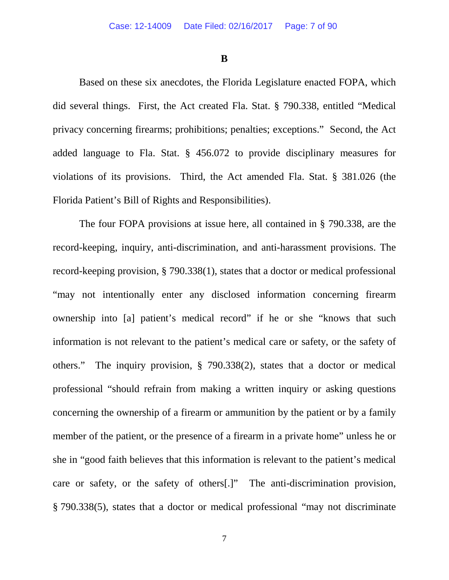**B**

Based on these six anecdotes, the Florida Legislature enacted FOPA, which did several things. First, the Act created Fla. Stat. § 790.338, entitled "Medical privacy concerning firearms; prohibitions; penalties; exceptions." Second, the Act added language to Fla. Stat. § 456.072 to provide disciplinary measures for violations of its provisions. Third, the Act amended Fla. Stat. § 381.026 (the Florida Patient's Bill of Rights and Responsibilities).

The four FOPA provisions at issue here, all contained in § 790.338, are the record-keeping, inquiry, anti-discrimination, and anti-harassment provisions. The record-keeping provision, § 790.338(1), states that a doctor or medical professional "may not intentionally enter any disclosed information concerning firearm ownership into [a] patient's medical record" if he or she "knows that such information is not relevant to the patient's medical care or safety, or the safety of others." The inquiry provision, § 790.338(2), states that a doctor or medical professional "should refrain from making a written inquiry or asking questions concerning the ownership of a firearm or ammunition by the patient or by a family member of the patient, or the presence of a firearm in a private home" unless he or she in "good faith believes that this information is relevant to the patient's medical care or safety, or the safety of others[.]" The anti-discrimination provision, § 790.338(5), states that a doctor or medical professional "may not discriminate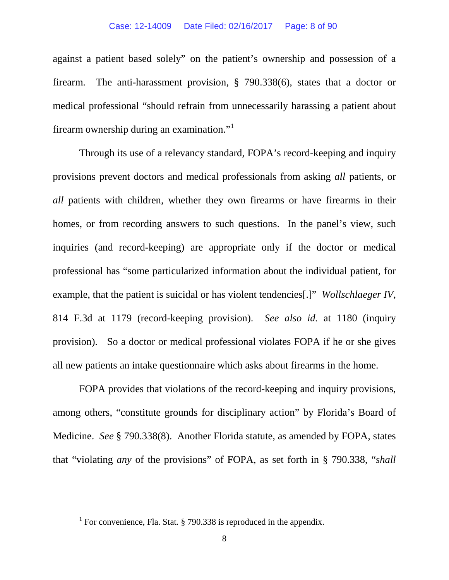against a patient based solely" on the patient's ownership and possession of a firearm. The anti-harassment provision, § 790.338(6), states that a doctor or medical professional "should refrain from unnecessarily harassing a patient about firearm ownership during an examination."<sup>[1](#page-7-0)</sup>

Through its use of a relevancy standard, FOPA's record-keeping and inquiry provisions prevent doctors and medical professionals from asking *all* patients, or *all* patients with children, whether they own firearms or have firearms in their homes, or from recording answers to such questions. In the panel's view, such inquiries (and record-keeping) are appropriate only if the doctor or medical professional has "some particularized information about the individual patient, for example, that the patient is suicidal or has violent tendencies[.]" *Wollschlaeger IV*, 814 F.3d at 1179 (record-keeping provision). *See also id.* at 1180 (inquiry provision). So a doctor or medical professional violates FOPA if he or she gives all new patients an intake questionnaire which asks about firearms in the home.

FOPA provides that violations of the record-keeping and inquiry provisions, among others, "constitute grounds for disciplinary action" by Florida's Board of Medicine. *See* § 790.338(8). Another Florida statute, as amended by FOPA, states that "violating *any* of the provisions" of FOPA, as set forth in § 790.338, "*shall*

<span id="page-7-0"></span><sup>&</sup>lt;sup>1</sup> For convenience, Fla. Stat.  $\S$  790.338 is reproduced in the appendix.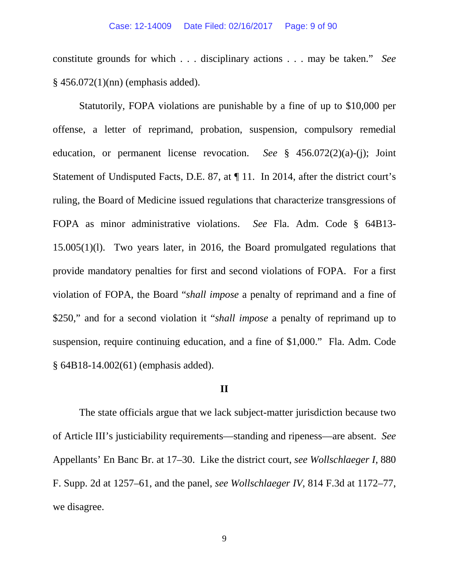constitute grounds for which . . . disciplinary actions . . . may be taken." *See*  § 456.072(1)(nn) (emphasis added).

Statutorily, FOPA violations are punishable by a fine of up to \$10,000 per offense, a letter of reprimand, probation, suspension, compulsory remedial education, or permanent license revocation. *See* § 456.072(2)(a)-(j); Joint Statement of Undisputed Facts, D.E. 87, at ¶ 11. In 2014, after the district court's ruling, the Board of Medicine issued regulations that characterize transgressions of FOPA as minor administrative violations. *See* Fla. Adm. Code § 64B13- 15.005(1)(l). Two years later, in 2016, the Board promulgated regulations that provide mandatory penalties for first and second violations of FOPA. For a first violation of FOPA, the Board "*shall impose* a penalty of reprimand and a fine of \$250," and for a second violation it "*shall impose* a penalty of reprimand up to suspension, require continuing education, and a fine of \$1,000." Fla. Adm. Code § 64B18-14.002(61) (emphasis added).

## **II**

The state officials argue that we lack subject-matter jurisdiction because two of Article III's justiciability requirements—standing and ripeness—are absent. *See*  Appellants' En Banc Br. at 17–30. Like the district court, *see Wollschlaeger I*, 880 F. Supp. 2d at 1257–61, and the panel, *see Wollschlaeger IV*, 814 F.3d at 1172–77, we disagree.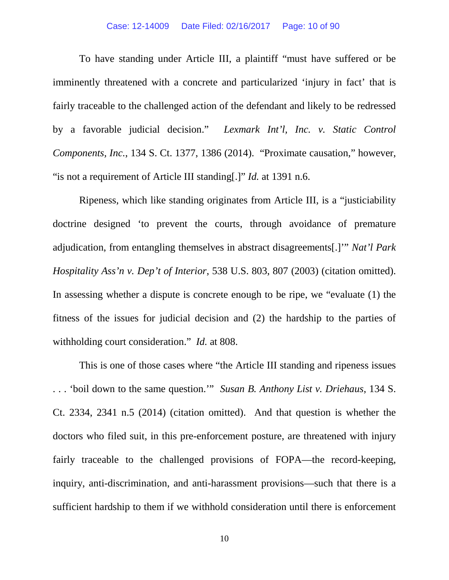To have standing under Article III, a plaintiff "must have suffered or be imminently threatened with a concrete and particularized 'injury in fact' that is fairly traceable to the challenged action of the defendant and likely to be redressed by a favorable judicial decision." *Lexmark Int'l, Inc. v. Static Control Components, Inc.*, 134 S. Ct. 1377, 1386 (2014). "Proximate causation," however, "is not a requirement of Article III standing[.]" *Id.* at 1391 n.6.

Ripeness, which like standing originates from Article III, is a "justiciability doctrine designed 'to prevent the courts, through avoidance of premature adjudication, from entangling themselves in abstract disagreements[.]'" *Nat'l Park Hospitality Ass'n v. Dep't of Interior*, 538 U.S. 803, 807 (2003) (citation omitted). In assessing whether a dispute is concrete enough to be ripe, we "evaluate (1) the fitness of the issues for judicial decision and (2) the hardship to the parties of withholding court consideration." *Id.* at 808.

This is one of those cases where "the Article III standing and ripeness issues . . . 'boil down to the same question.'" *Susan B. Anthony List v. Driehaus*, 134 S. Ct. 2334, 2341 n.5 (2014) (citation omitted). And that question is whether the doctors who filed suit, in this pre-enforcement posture, are threatened with injury fairly traceable to the challenged provisions of FOPA—the record-keeping, inquiry, anti-discrimination, and anti-harassment provisions—such that there is a sufficient hardship to them if we withhold consideration until there is enforcement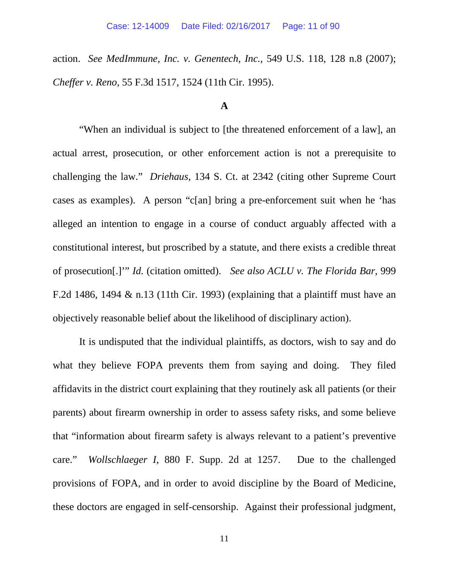action. *See MedImmune, Inc. v. Genentech, Inc.*, 549 U.S. 118, 128 n.8 (2007); *Cheffer v. Reno*, 55 F.3d 1517, 1524 (11th Cir. 1995).

## **A**

"When an individual is subject to [the threatened enforcement of a law], an actual arrest, prosecution, or other enforcement action is not a prerequisite to challenging the law." *Driehaus*, 134 S. Ct. at 2342 (citing other Supreme Court cases as examples). A person "c[an] bring a pre-enforcement suit when he 'has alleged an intention to engage in a course of conduct arguably affected with a constitutional interest, but proscribed by a statute, and there exists a credible threat of prosecution[.]'" *Id.* (citation omitted). *See also ACLU v. The Florida Bar*, 999 F.2d 1486, 1494  $\&$  n.13 (11th Cir. 1993) (explaining that a plaintiff must have an objectively reasonable belief about the likelihood of disciplinary action).

It is undisputed that the individual plaintiffs, as doctors, wish to say and do what they believe FOPA prevents them from saying and doing. They filed affidavits in the district court explaining that they routinely ask all patients (or their parents) about firearm ownership in order to assess safety risks, and some believe that "information about firearm safety is always relevant to a patient's preventive care." *Wollschlaeger I*, 880 F. Supp. 2d at 1257. Due to the challenged provisions of FOPA, and in order to avoid discipline by the Board of Medicine, these doctors are engaged in self-censorship. Against their professional judgment,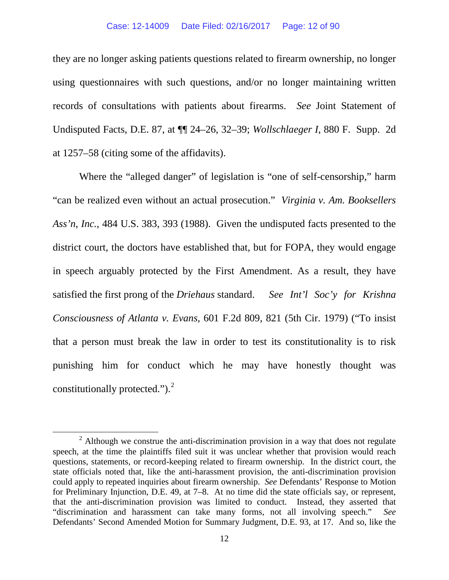#### Case: 12-14009 Date Filed: 02/16/2017 Page: 12 of 90

they are no longer asking patients questions related to firearm ownership, no longer using questionnaires with such questions, and/or no longer maintaining written records of consultations with patients about firearms. *See* Joint Statement of Undisputed Facts, D.E. 87, at ¶¶ 24–26, 32–39; *Wollschlaeger I*, 880 F. Supp. 2d at 1257–58 (citing some of the affidavits).

Where the "alleged danger" of legislation is "one of self-censorship," harm "can be realized even without an actual prosecution." *Virginia v. Am. Booksellers Ass'n, Inc.*, 484 U.S. 383, 393 (1988). Given the undisputed facts presented to the district court, the doctors have established that, but for FOPA, they would engage in speech arguably protected by the First Amendment. As a result, they have satisfied the first prong of the *Driehaus* standard. *See Int'l Soc'y for Krishna Consciousness of Atlanta v. Evans*, 601 F.2d 809, 821 (5th Cir. 1979) ("To insist that a person must break the law in order to test its constitutionality is to risk punishing him for conduct which he may have honestly thought was constitutionally protected.").<sup>[2](#page-11-0)</sup>

<span id="page-11-0"></span> $2$  Although we construe the anti-discrimination provision in a way that does not regulate speech, at the time the plaintiffs filed suit it was unclear whether that provision would reach questions, statements, or record-keeping related to firearm ownership. In the district court, the state officials noted that, like the anti-harassment provision, the anti-discrimination provision could apply to repeated inquiries about firearm ownership. *See* Defendants' Response to Motion for Preliminary Injunction, D.E. 49, at 7–8. At no time did the state officials say, or represent, that the anti-discrimination provision was limited to conduct. Instead, they asserted that "discrimination and harassment can take many forms, not all involving speech." *See*  Defendants' Second Amended Motion for Summary Judgment, D.E. 93, at 17. And so, like the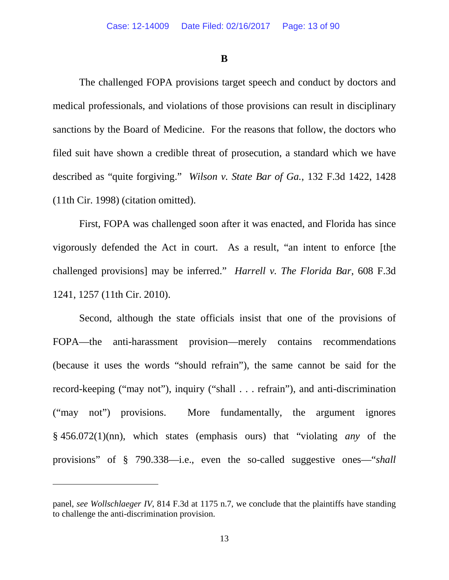**B**

The challenged FOPA provisions target speech and conduct by doctors and medical professionals, and violations of those provisions can result in disciplinary sanctions by the Board of Medicine. For the reasons that follow, the doctors who filed suit have shown a credible threat of prosecution, a standard which we have described as "quite forgiving." *Wilson v. State Bar of Ga.*, 132 F.3d 1422, 1428 (11th Cir. 1998) (citation omitted).

First, FOPA was challenged soon after it was enacted, and Florida has since vigorously defended the Act in court. As a result, "an intent to enforce [the challenged provisions] may be inferred." *Harrell v. The Florida Bar*, 608 F.3d 1241, 1257 (11th Cir. 2010).

Second, although the state officials insist that one of the provisions of FOPA—the anti-harassment provision—merely contains recommendations (because it uses the words "should refrain"), the same cannot be said for the record-keeping ("may not"), inquiry ("shall . . . refrain"), and anti-discrimination ("may not") provisions. More fundamentally, the argument ignores § 456.072(1)(nn), which states (emphasis ours) that "violating *any* of the provisions" of § 790.338—i.e., even the so-called suggestive ones—"*shall*

 $\overline{a}$ 

panel, *see Wollschlaeger IV*, 814 F.3d at 1175 n.7, we conclude that the plaintiffs have standing to challenge the anti-discrimination provision.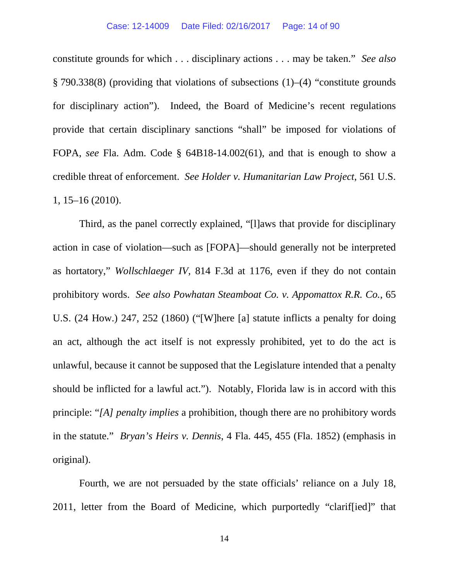constitute grounds for which . . . disciplinary actions . . . may be taken." *See also*  § 790.338(8) (providing that violations of subsections (1)–(4) "constitute grounds for disciplinary action"). Indeed, the Board of Medicine's recent regulations provide that certain disciplinary sanctions "shall" be imposed for violations of FOPA, *see* Fla. Adm. Code § 64B18-14.002(61), and that is enough to show a credible threat of enforcement. *See Holder v. Humanitarian Law Project*, 561 U.S. 1, 15–16 (2010).

Third, as the panel correctly explained, "[l]aws that provide for disciplinary action in case of violation—such as [FOPA]—should generally not be interpreted as hortatory," *Wollschlaeger IV*, 814 F.3d at 1176, even if they do not contain prohibitory words. *See also Powhatan Steamboat Co. v. Appomattox R.R. Co.*, 65 U.S. (24 How.) 247, 252 (1860) ("[W]here [a] statute inflicts a penalty for doing an act, although the act itself is not expressly prohibited, yet to do the act is unlawful, because it cannot be supposed that the Legislature intended that a penalty should be inflicted for a lawful act."). Notably, Florida law is in accord with this principle: "*[A] penalty implies* a prohibition, though there are no prohibitory words in the statute." *Bryan's Heirs v. Dennis*, 4 Fla. 445, 455 (Fla. 1852) (emphasis in original).

Fourth, we are not persuaded by the state officials' reliance on a July 18, 2011, letter from the Board of Medicine, which purportedly "clarif[ied]" that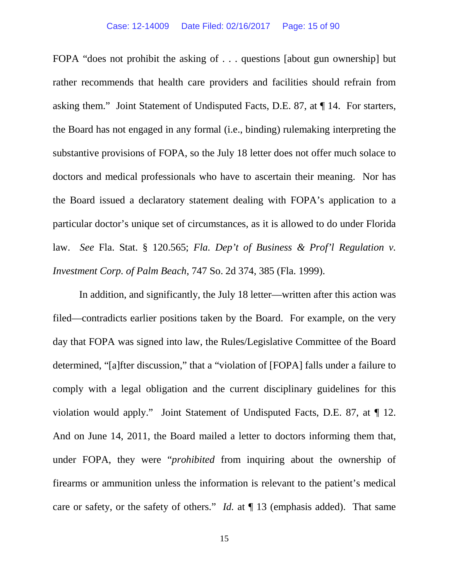FOPA "does not prohibit the asking of . . . questions [about gun ownership] but rather recommends that health care providers and facilities should refrain from asking them." Joint Statement of Undisputed Facts, D.E. 87, at ¶ 14. For starters, the Board has not engaged in any formal (i.e., binding) rulemaking interpreting the substantive provisions of FOPA, so the July 18 letter does not offer much solace to doctors and medical professionals who have to ascertain their meaning. Nor has the Board issued a declaratory statement dealing with FOPA's application to a particular doctor's unique set of circumstances, as it is allowed to do under Florida law. *See* Fla. Stat. § 120.565; *Fla. Dep't of Business & Prof'l Regulation v. Investment Corp. of Palm Beach*, 747 So. 2d 374, 385 (Fla. 1999).

In addition, and significantly, the July 18 letter—written after this action was filed—contradicts earlier positions taken by the Board. For example, on the very day that FOPA was signed into law, the Rules/Legislative Committee of the Board determined, "[a]fter discussion," that a "violation of [FOPA] falls under a failure to comply with a legal obligation and the current disciplinary guidelines for this violation would apply." Joint Statement of Undisputed Facts, D.E. 87, at ¶ 12. And on June 14, 2011, the Board mailed a letter to doctors informing them that, under FOPA, they were "*prohibited* from inquiring about the ownership of firearms or ammunition unless the information is relevant to the patient's medical care or safety, or the safety of others." *Id.* at ¶ 13 (emphasis added). That same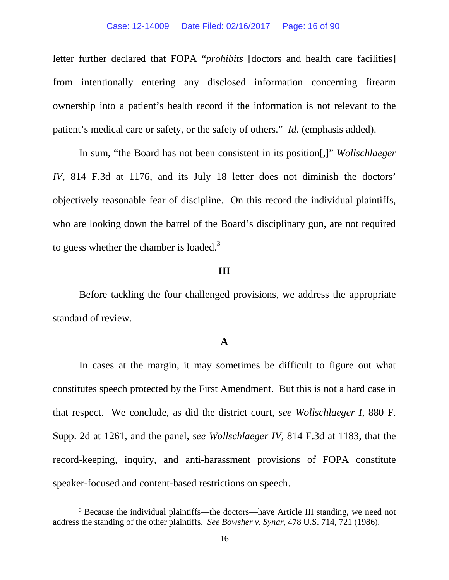#### Case: 12-14009 Date Filed: 02/16/2017 Page: 16 of 90

letter further declared that FOPA "*prohibits* [doctors and health care facilities] from intentionally entering any disclosed information concerning firearm ownership into a patient's health record if the information is not relevant to the patient's medical care or safety, or the safety of others." *Id.* (emphasis added).

In sum, "the Board has not been consistent in its position[,]" *Wollschlaeger IV*, 814 F.3d at 1176, and its July 18 letter does not diminish the doctors' objectively reasonable fear of discipline. On this record the individual plaintiffs, who are looking down the barrel of the Board's disciplinary gun, are not required to guess whether the chamber is loaded.<sup>[3](#page-15-0)</sup>

## **III**

Before tackling the four challenged provisions, we address the appropriate standard of review.

## **A**

In cases at the margin, it may sometimes be difficult to figure out what constitutes speech protected by the First Amendment. But this is not a hard case in that respect. We conclude, as did the district court, *see Wollschlaeger I*, 880 F. Supp. 2d at 1261, and the panel, *see Wollschlaeger IV*, 814 F.3d at 1183, that the record-keeping, inquiry, and anti-harassment provisions of FOPA constitute speaker-focused and content-based restrictions on speech.

<span id="page-15-0"></span><sup>&</sup>lt;sup>3</sup> Because the individual plaintiffs—the doctors—have Article III standing, we need not address the standing of the other plaintiffs. *See Bowsher v. Synar*, 478 U.S. 714, 721 (1986).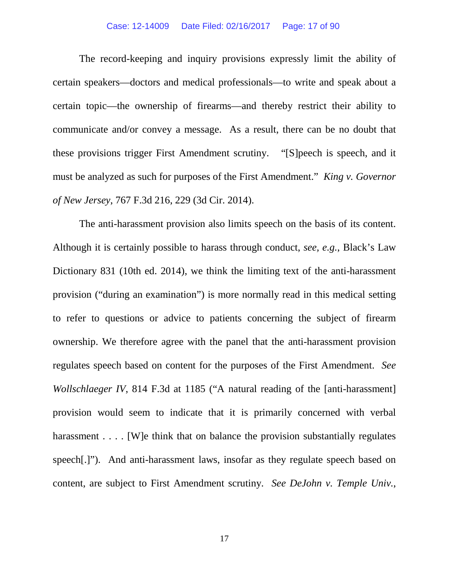#### Case: 12-14009 Date Filed: 02/16/2017 Page: 17 of 90

The record-keeping and inquiry provisions expressly limit the ability of certain speakers—doctors and medical professionals—to write and speak about a certain topic—the ownership of firearms—and thereby restrict their ability to communicate and/or convey a message. As a result, there can be no doubt that these provisions trigger First Amendment scrutiny. "[S]peech is speech, and it must be analyzed as such for purposes of the First Amendment." *King v. Governor of New Jersey*, 767 F.3d 216, 229 (3d Cir. 2014).

The anti-harassment provision also limits speech on the basis of its content. Although it is certainly possible to harass through conduct, *see, e.g.*, Black's Law Dictionary 831 (10th ed. 2014), we think the limiting text of the anti-harassment provision ("during an examination") is more normally read in this medical setting to refer to questions or advice to patients concerning the subject of firearm ownership. We therefore agree with the panel that the anti-harassment provision regulates speech based on content for the purposes of the First Amendment. *See Wollschlaeger IV*, 814 F.3d at 1185 ("A natural reading of the [anti-harassment] provision would seem to indicate that it is primarily concerned with verbal harassment  $\dots$ . [W] et think that on balance the provision substantially regulates speech[.]"). And anti-harassment laws, insofar as they regulate speech based on content, are subject to First Amendment scrutiny. *See DeJohn v. Temple Univ.*,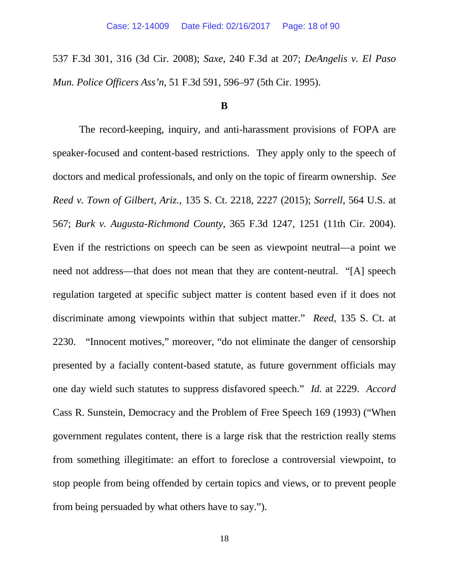537 F.3d 301, 316 (3d Cir. 2008); *Saxe*, 240 F.3d at 207; *DeAngelis v. El Paso Mun. Police Officers Ass'n*, 51 F.3d 591, 596–97 (5th Cir. 1995).

## **B**

The record-keeping, inquiry, and anti-harassment provisions of FOPA are speaker-focused and content-based restrictions. They apply only to the speech of doctors and medical professionals, and only on the topic of firearm ownership. *See Reed v. Town of Gilbert, Ariz.*, 135 S. Ct. 2218, 2227 (2015); *Sorrell*, 564 U.S. at 567; *Burk v. Augusta-Richmond County*, 365 F.3d 1247, 1251 (11th Cir. 2004). Even if the restrictions on speech can be seen as viewpoint neutral—a point we need not address—that does not mean that they are content-neutral. "[A] speech regulation targeted at specific subject matter is content based even if it does not discriminate among viewpoints within that subject matter." *Reed*, 135 S. Ct. at 2230. "Innocent motives," moreover, "do not eliminate the danger of censorship presented by a facially content-based statute, as future government officials may one day wield such statutes to suppress disfavored speech." *Id.* at 2229. *Accord*  Cass R. Sunstein, Democracy and the Problem of Free Speech 169 (1993) ("When government regulates content, there is a large risk that the restriction really stems from something illegitimate: an effort to foreclose a controversial viewpoint, to stop people from being offended by certain topics and views, or to prevent people from being persuaded by what others have to say.").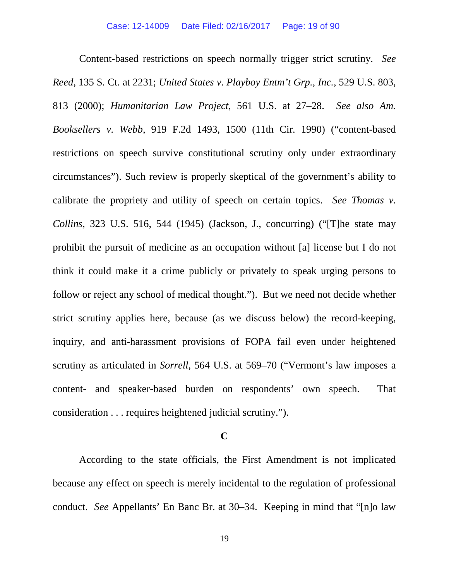Content-based restrictions on speech normally trigger strict scrutiny. *See Reed*, 135 S. Ct. at 2231; *United States v. Playboy Entm't Grp., Inc.*, 529 U.S. 803, 813 (2000); *Humanitarian Law Project*, 561 U.S. at 27–28. *See also Am. Booksellers v. Webb*, 919 F.2d 1493, 1500 (11th Cir. 1990) ("content-based restrictions on speech survive constitutional scrutiny only under extraordinary circumstances"). Such review is properly skeptical of the government's ability to calibrate the propriety and utility of speech on certain topics. *See Thomas v. Collins*, 323 U.S. 516, 544 (1945) (Jackson, J., concurring) ("[T]he state may prohibit the pursuit of medicine as an occupation without [a] license but I do not think it could make it a crime publicly or privately to speak urging persons to follow or reject any school of medical thought."). But we need not decide whether strict scrutiny applies here, because (as we discuss below) the record-keeping, inquiry, and anti-harassment provisions of FOPA fail even under heightened scrutiny as articulated in *Sorrell*, 564 U.S. at 569–70 ("Vermont's law imposes a content- and speaker-based burden on respondents' own speech. That consideration . . . requires heightened judicial scrutiny.").

#### **C**

According to the state officials, the First Amendment is not implicated because any effect on speech is merely incidental to the regulation of professional conduct. *See* Appellants' En Banc Br. at 30–34. Keeping in mind that "[n]o law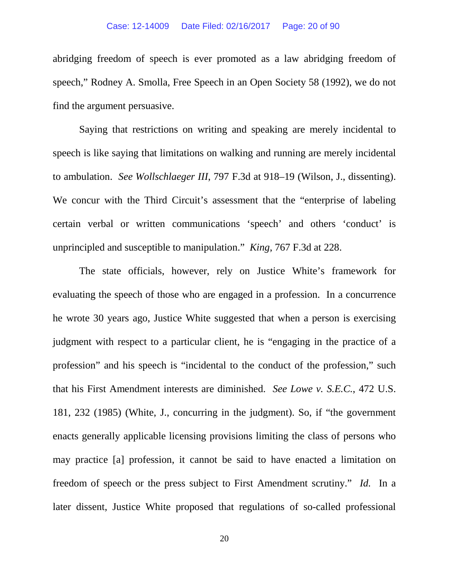abridging freedom of speech is ever promoted as a law abridging freedom of speech," Rodney A. Smolla, Free Speech in an Open Society 58 (1992), we do not find the argument persuasive.

Saying that restrictions on writing and speaking are merely incidental to speech is like saying that limitations on walking and running are merely incidental to ambulation. *See Wollschlaeger III*, 797 F.3d at 918–19 (Wilson, J., dissenting). We concur with the Third Circuit's assessment that the "enterprise of labeling certain verbal or written communications 'speech' and others 'conduct' is unprincipled and susceptible to manipulation." *King*, 767 F.3d at 228.

The state officials, however, rely on Justice White's framework for evaluating the speech of those who are engaged in a profession. In a concurrence he wrote 30 years ago, Justice White suggested that when a person is exercising judgment with respect to a particular client, he is "engaging in the practice of a profession" and his speech is "incidental to the conduct of the profession," such that his First Amendment interests are diminished. *See Lowe v. S.E.C.*, 472 U.S. 181, 232 (1985) (White, J., concurring in the judgment). So, if "the government enacts generally applicable licensing provisions limiting the class of persons who may practice [a] profession, it cannot be said to have enacted a limitation on freedom of speech or the press subject to First Amendment scrutiny." *Id.* In a later dissent, Justice White proposed that regulations of so-called professional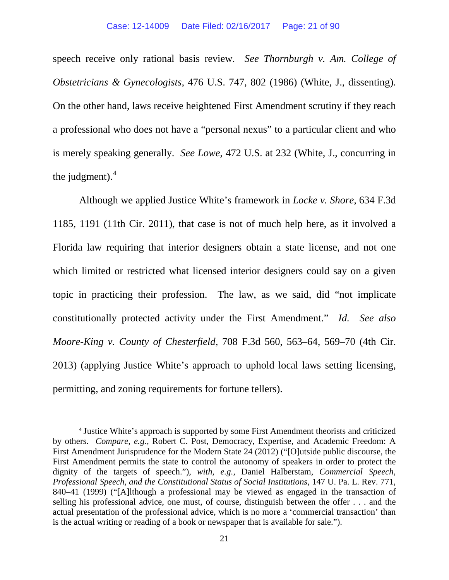speech receive only rational basis review. *See Thornburgh v. Am. College of Obstetricians & Gynecologists*, 476 U.S. 747, 802 (1986) (White, J., dissenting). On the other hand, laws receive heightened First Amendment scrutiny if they reach a professional who does not have a "personal nexus" to a particular client and who is merely speaking generally.*See Lowe*, 472 U.S. at 232 (White, J., concurring in the judgment). $4$ 

Although we applied Justice White's framework in *Locke v. Shore*, 634 F.3d 1185, 1191 (11th Cir. 2011), that case is not of much help here, as it involved a Florida law requiring that interior designers obtain a state license, and not one which limited or restricted what licensed interior designers could say on a given topic in practicing their profession. The law, as we said, did "not implicate constitutionally protected activity under the First Amendment." *Id. See also Moore-King v. County of Chesterfield*, 708 F.3d 560, 563–64, 569–70 (4th Cir. 2013) (applying Justice White's approach to uphold local laws setting licensing, permitting, and zoning requirements for fortune tellers).

<span id="page-20-0"></span> <sup>4</sup> Justice White's approach is supported by some First Amendment theorists and criticized by others. *Compare, e.g.,* Robert C. Post, Democracy, Expertise, and Academic Freedom: A First Amendment Jurisprudence for the Modern State 24 (2012) ("[O]utside public discourse, the First Amendment permits the state to control the autonomy of speakers in order to protect the dignity of the targets of speech."), *with, e.g.*, Daniel Halberstam, *Commercial Speech, Professional Speech, and the Constitutional Status of Social Institutions*, 147 U. Pa. L. Rev. 771, 840–41 (1999) ("[A]lthough a professional may be viewed as engaged in the transaction of selling his professional advice, one must, of course, distinguish between the offer . . . and the actual presentation of the professional advice, which is no more a 'commercial transaction' than is the actual writing or reading of a book or newspaper that is available for sale.").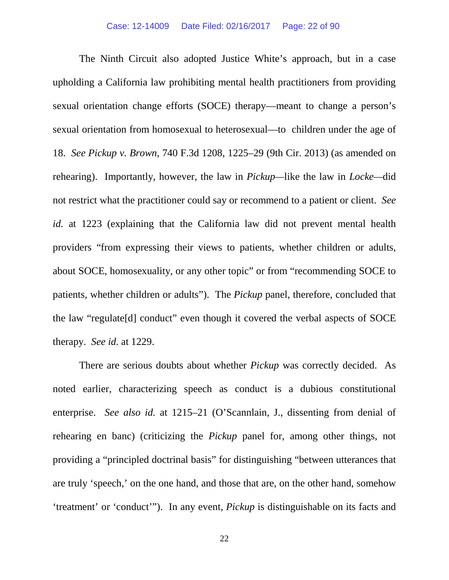The Ninth Circuit also adopted Justice White's approach, but in a case upholding a California law prohibiting mental health practitioners from providing sexual orientation change efforts (SOCE) therapy—meant to change a person's sexual orientation from homosexual to heterosexual—to children under the age of 18. *See Pickup v. Brown*, 740 F.3d 1208, 1225–29 (9th Cir. 2013) (as amended on rehearing). Importantly, however, the law in *Pickup—*like the law in *Locke—*did not restrict what the practitioner could say or recommend to a patient or client. *See id.* at 1223 (explaining that the California law did not prevent mental health providers "from expressing their views to patients, whether children or adults, about SOCE, homosexuality, or any other topic" or from "recommending SOCE to patients, whether children or adults"). The *Pickup* panel, therefore, concluded that the law "regulate[d] conduct" even though it covered the verbal aspects of SOCE therapy. *See id.* at 1229.

There are serious doubts about whether *Pickup* was correctly decided. As noted earlier, characterizing speech as conduct is a dubious constitutional enterprise. *See also id.* at 1215–21 (O'Scannlain, J., dissenting from denial of rehearing en banc) (criticizing the *Pickup* panel for, among other things, not providing a "principled doctrinal basis" for distinguishing "between utterances that are truly 'speech,' on the one hand, and those that are, on the other hand, somehow 'treatment' or 'conduct'"). In any event, *Pickup* is distinguishable on its facts and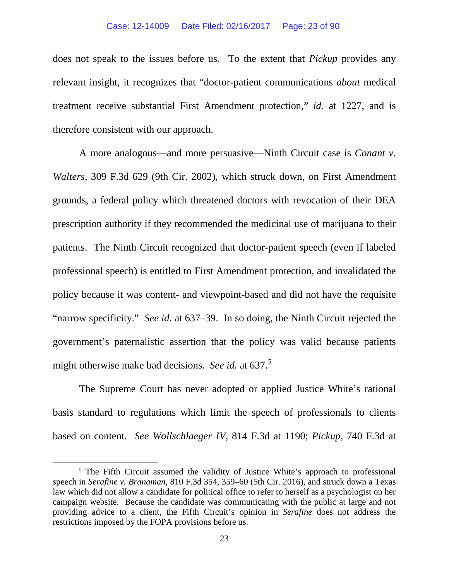#### Case: 12-14009 Date Filed: 02/16/2017 Page: 23 of 90

does not speak to the issues before us. To the extent that *Pickup* provides any relevant insight, it recognizes that "doctor-patient communications *about* medical treatment receive substantial First Amendment protection," *id.* at 1227, and is therefore consistent with our approach.

A more analogous—and more persuasive—Ninth Circuit case is *Conant v. Walters*, 309 F.3d 629 (9th Cir. 2002), which struck down, on First Amendment grounds, a federal policy which threatened doctors with revocation of their DEA prescription authority if they recommended the medicinal use of marijuana to their patients. The Ninth Circuit recognized that doctor-patient speech (even if labeled professional speech) is entitled to First Amendment protection, and invalidated the policy because it was content- and viewpoint-based and did not have the requisite "narrow specificity." *See id.* at 637–39. In so doing, the Ninth Circuit rejected the government's paternalistic assertion that the policy was valid because patients might otherwise make bad decisions. *See id.* at 637.[5](#page-22-0)

The Supreme Court has never adopted or applied Justice White's rational basis standard to regulations which limit the speech of professionals to clients based on content. *See Wollschlaeger IV*, 814 F.3d at 1190; *Pickup*, 740 F.3d at

<span id="page-22-0"></span><sup>&</sup>lt;sup>5</sup> The Fifth Circuit assumed the validity of Justice White's approach to professional speech in *Serafine v. Branaman*, 810 F.3d 354, 359–60 (5th Cir. 2016), and struck down a Texas law which did not allow a candidate for political office to refer to herself as a psychologist on her campaign website. Because the candidate was communicating with the public at large and not providing advice to a client, the Fifth Circuit's opinion in *Serafine* does not address the restrictions imposed by the FOPA provisions before us.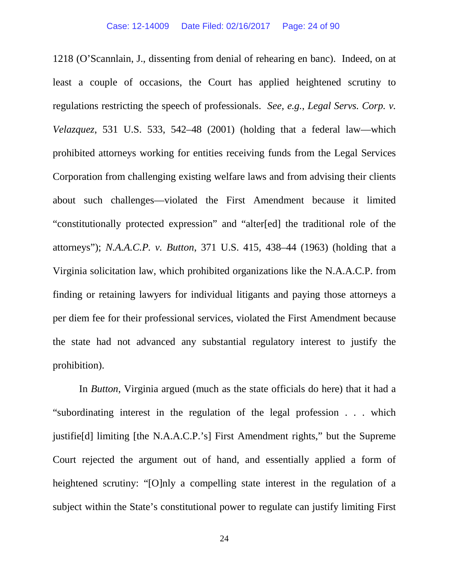1218 (O'Scannlain, J., dissenting from denial of rehearing en banc). Indeed, on at least a couple of occasions, the Court has applied heightened scrutiny to regulations restricting the speech of professionals. *See, e.g.*, *Legal Servs. Corp. v. Velazquez*, 531 U.S. 533, 542–48 (2001) (holding that a federal law—which prohibited attorneys working for entities receiving funds from the Legal Services Corporation from challenging existing welfare laws and from advising their clients about such challenges—violated the First Amendment because it limited "constitutionally protected expression" and "alter[ed] the traditional role of the attorneys"); *N.A.A.C.P. v. Button*, 371 U.S. 415, 438–44 (1963) (holding that a Virginia solicitation law, which prohibited organizations like the N.A.A.C.P. from finding or retaining lawyers for individual litigants and paying those attorneys a per diem fee for their professional services, violated the First Amendment because the state had not advanced any substantial regulatory interest to justify the prohibition).

In *Button*, Virginia argued (much as the state officials do here) that it had a "subordinating interest in the regulation of the legal profession . . . which justifie[d] limiting [the N.A.A.C.P.'s] First Amendment rights," but the Supreme Court rejected the argument out of hand, and essentially applied a form of heightened scrutiny: "[O]nly a compelling state interest in the regulation of a subject within the State's constitutional power to regulate can justify limiting First

24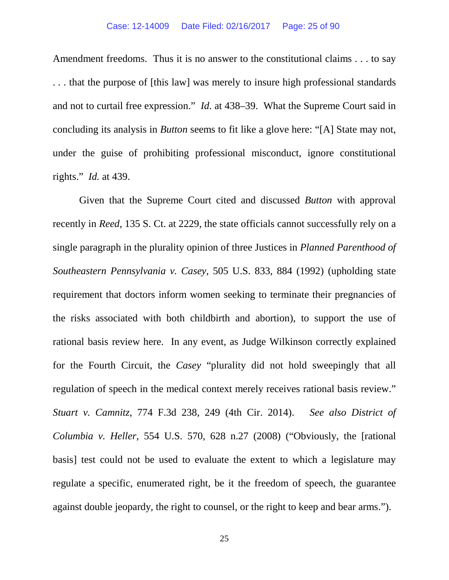Amendment freedoms. Thus it is no answer to the constitutional claims . . . to say . . . that the purpose of [this law] was merely to insure high professional standards and not to curtail free expression." *Id.* at 438–39. What the Supreme Court said in concluding its analysis in *Button* seems to fit like a glove here: "[A] State may not, under the guise of prohibiting professional misconduct, ignore constitutional rights." *Id.* at 439.

Given that the Supreme Court cited and discussed *Button* with approval recently in *Reed*, 135 S. Ct. at 2229, the state officials cannot successfully rely on a single paragraph in the plurality opinion of three Justices in *Planned Parenthood of Southeastern Pennsylvania v. Casey*, 505 U.S. 833, 884 (1992) (upholding state requirement that doctors inform women seeking to terminate their pregnancies of the risks associated with both childbirth and abortion), to support the use of rational basis review here. In any event, as Judge Wilkinson correctly explained for the Fourth Circuit, the *Casey* "plurality did not hold sweepingly that all regulation of speech in the medical context merely receives rational basis review." *Stuart v. Camnitz*, 774 F.3d 238, 249 (4th Cir. 2014). *See also District of Columbia v. Heller*, 554 U.S. 570, 628 n.27 (2008) ("Obviously, the [rational basis] test could not be used to evaluate the extent to which a legislature may regulate a specific, enumerated right, be it the freedom of speech, the guarantee against double jeopardy, the right to counsel, or the right to keep and bear arms.").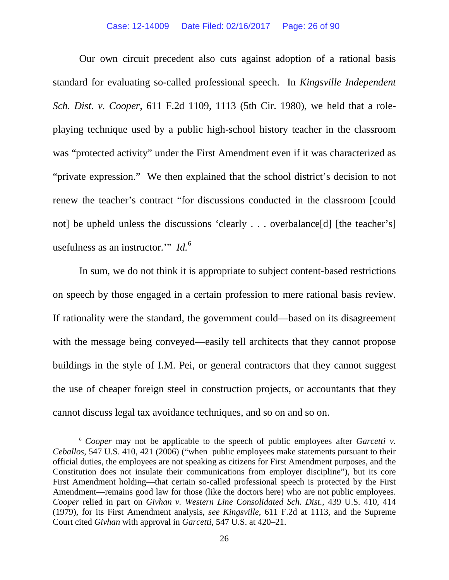Our own circuit precedent also cuts against adoption of a rational basis standard for evaluating so-called professional speech. In *Kingsville Independent Sch. Dist. v. Cooper*, 611 F.2d 1109, 1113 (5th Cir. 1980), we held that a roleplaying technique used by a public high-school history teacher in the classroom was "protected activity" under the First Amendment even if it was characterized as "private expression." We then explained that the school district's decision to not renew the teacher's contract "for discussions conducted in the classroom [could not] be upheld unless the discussions 'clearly . . . overbalance[d] [the teacher's] usefulness as an instructor.'" *Id.*[6](#page-25-0)

In sum, we do not think it is appropriate to subject content-based restrictions on speech by those engaged in a certain profession to mere rational basis review. If rationality were the standard, the government could—based on its disagreement with the message being conveyed—easily tell architects that they cannot propose buildings in the style of I.M. Pei, or general contractors that they cannot suggest the use of cheaper foreign steel in construction projects, or accountants that they cannot discuss legal tax avoidance techniques, and so on and so on.

<span id="page-25-0"></span> <sup>6</sup> *Cooper* may not be applicable to the speech of public employees after *Garcetti v. Ceballos*, 547 U.S. 410, 421 (2006) ("when public employees make statements pursuant to their official duties, the employees are not speaking as citizens for First Amendment purposes, and the Constitution does not insulate their communications from employer discipline"), but its core First Amendment holding—that certain so-called professional speech is protected by the First Amendment—remains good law for those (like the doctors here) who are not public employees. *Cooper* relied in part on *Givhan v. Western Line Consolidated Sch. Dist.*, 439 U.S. 410, 414 (1979), for its First Amendment analysis, *see Kingsville*, 611 F.2d at 1113, and the Supreme Court cited *Givhan* with approval in *Garcetti*, 547 U.S. at 420–21.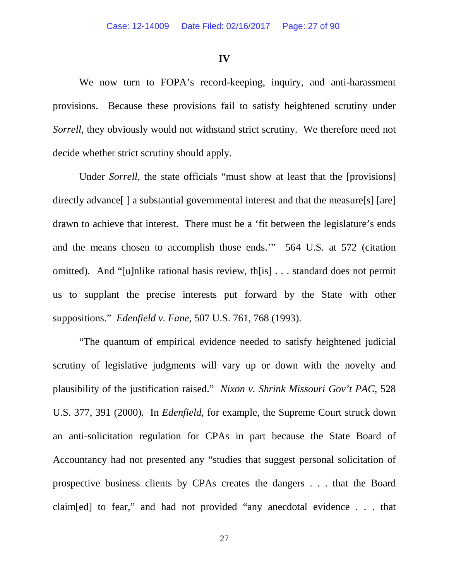#### **IV**

We now turn to FOPA's record-keeping, inquiry, and anti-harassment provisions. Because these provisions fail to satisfy heightened scrutiny under *Sorrell*, they obviously would not withstand strict scrutiny. We therefore need not decide whether strict scrutiny should apply.

Under *Sorrell*, the state officials "must show at least that the [provisions] directly advance[ ] a substantial governmental interest and that the measure[s] [are] drawn to achieve that interest. There must be a 'fit between the legislature's ends and the means chosen to accomplish those ends.'" 564 U.S. at 572 (citation omitted). And "[u]nlike rational basis review, th[is] . . . standard does not permit us to supplant the precise interests put forward by the State with other suppositions." *Edenfield v. Fane*, 507 U.S. 761, 768 (1993).

"The quantum of empirical evidence needed to satisfy heightened judicial scrutiny of legislative judgments will vary up or down with the novelty and plausibility of the justification raised." *Nixon v. Shrink Missouri Gov't PAC*, 528 U.S. 377, 391 (2000). In *Edenfield*, for example, the Supreme Court struck down an anti-solicitation regulation for CPAs in part because the State Board of Accountancy had not presented any "studies that suggest personal solicitation of prospective business clients by CPAs creates the dangers . . . that the Board claim[ed] to fear," and had not provided "any anecdotal evidence . . . that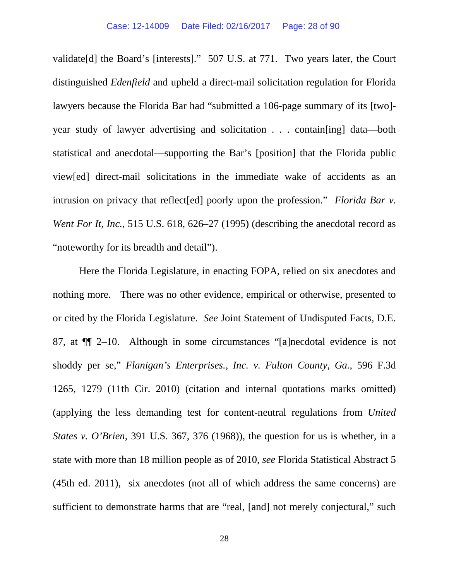validate[d] the Board's [interests]." 507 U.S. at 771. Two years later, the Court distinguished *Edenfield* and upheld a direct-mail solicitation regulation for Florida lawyers because the Florida Bar had "submitted a 106-page summary of its [two] year study of lawyer advertising and solicitation . . . contain[ing] data—both statistical and anecdotal—supporting the Bar's [position] that the Florida public view[ed] direct-mail solicitations in the immediate wake of accidents as an intrusion on privacy that reflect[ed] poorly upon the profession." *Florida Bar v. Went For It, Inc.*, 515 U.S. 618, 626–27 (1995) (describing the anecdotal record as "noteworthy for its breadth and detail").

Here the Florida Legislature, in enacting FOPA, relied on six anecdotes and nothing more. There was no other evidence, empirical or otherwise, presented to or cited by the Florida Legislature. *See* Joint Statement of Undisputed Facts, D.E. 87, at ¶¶ 2–10. Although in some circumstances "[a]necdotal evidence is not shoddy per se," *Flanigan's Enterprises., Inc. v. Fulton County, Ga.*, 596 F.3d 1265, 1279 (11th Cir. 2010) (citation and internal quotations marks omitted) (applying the less demanding test for content-neutral regulations from *United States v. O'Brien*, 391 U.S. 367, 376 (1968)), the question for us is whether, in a state with more than 18 million people as of 2010, *see* Florida Statistical Abstract 5 (45th ed. 2011), six anecdotes (not all of which address the same concerns) are sufficient to demonstrate harms that are "real, [and] not merely conjectural," such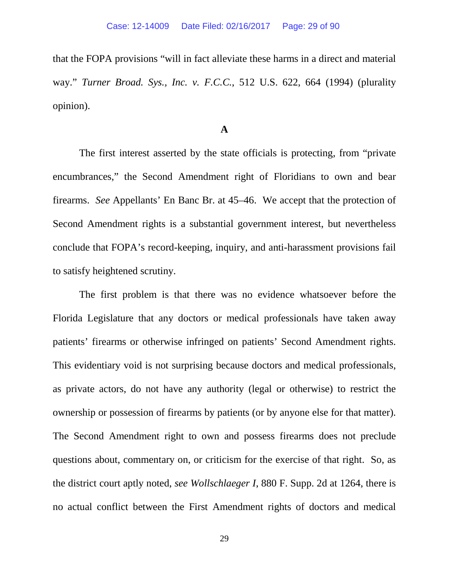that the FOPA provisions "will in fact alleviate these harms in a direct and material way." *Turner Broad. Sys., Inc. v. F.C.C.*, 512 U.S. 622, 664 (1994) (plurality opinion).

## **A**

The first interest asserted by the state officials is protecting, from "private encumbrances," the Second Amendment right of Floridians to own and bear firearms. *See* Appellants' En Banc Br. at 45–46. We accept that the protection of Second Amendment rights is a substantial government interest, but nevertheless conclude that FOPA's record-keeping, inquiry, and anti-harassment provisions fail to satisfy heightened scrutiny.

The first problem is that there was no evidence whatsoever before the Florida Legislature that any doctors or medical professionals have taken away patients' firearms or otherwise infringed on patients' Second Amendment rights. This evidentiary void is not surprising because doctors and medical professionals, as private actors, do not have any authority (legal or otherwise) to restrict the ownership or possession of firearms by patients (or by anyone else for that matter). The Second Amendment right to own and possess firearms does not preclude questions about, commentary on, or criticism for the exercise of that right. So, as the district court aptly noted, *see Wollschlaeger I*, 880 F. Supp. 2d at 1264, there is no actual conflict between the First Amendment rights of doctors and medical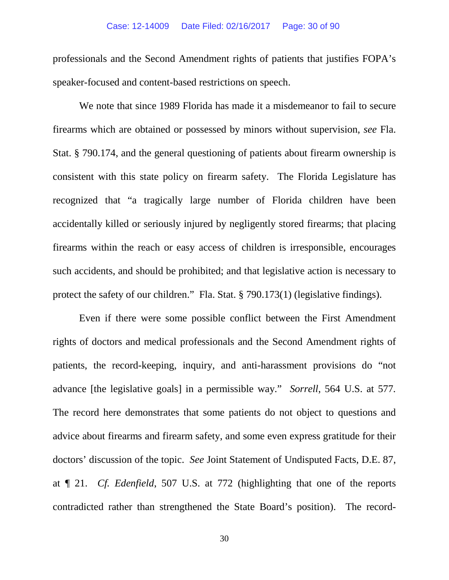professionals and the Second Amendment rights of patients that justifies FOPA's speaker-focused and content-based restrictions on speech.

We note that since 1989 Florida has made it a misdemeanor to fail to secure firearms which are obtained or possessed by minors without supervision, *see* Fla. Stat. § 790.174, and the general questioning of patients about firearm ownership is consistent with this state policy on firearm safety. The Florida Legislature has recognized that "a tragically large number of Florida children have been accidentally killed or seriously injured by negligently stored firearms; that placing firearms within the reach or easy access of children is irresponsible, encourages such accidents, and should be prohibited; and that legislative action is necessary to protect the safety of our children." Fla. Stat. § 790.173(1) (legislative findings).

Even if there were some possible conflict between the First Amendment rights of doctors and medical professionals and the Second Amendment rights of patients, the record-keeping, inquiry, and anti-harassment provisions do "not advance [the legislative goals] in a permissible way." *Sorrell*, 564 U.S. at 577*.*  The record here demonstrates that some patients do not object to questions and advice about firearms and firearm safety, and some even express gratitude for their doctors' discussion of the topic. *See* Joint Statement of Undisputed Facts, D.E. 87, at ¶ 21. *Cf. Edenfield*, 507 U.S. at 772 (highlighting that one of the reports contradicted rather than strengthened the State Board's position). The record-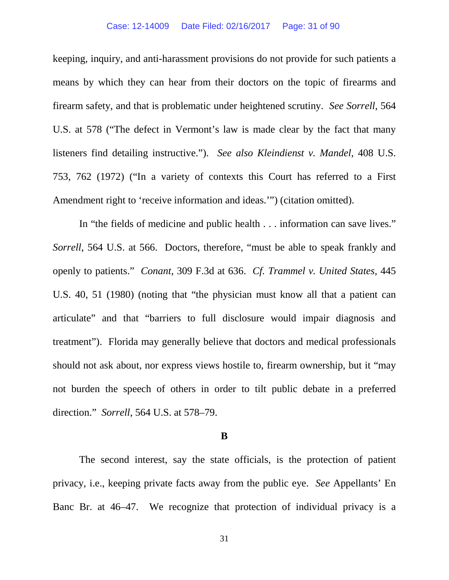#### Case: 12-14009 Date Filed: 02/16/2017 Page: 31 of 90

keeping, inquiry, and anti-harassment provisions do not provide for such patients a means by which they can hear from their doctors on the topic of firearms and firearm safety, and that is problematic under heightened scrutiny. *See Sorrell*, 564 U.S. at 578 ("The defect in Vermont's law is made clear by the fact that many listeners find detailing instructive."). *See also Kleindienst v. Mandel*, 408 U.S. 753, 762 (1972) ("In a variety of contexts this Court has referred to a First Amendment right to 'receive information and ideas.'") (citation omitted).

In "the fields of medicine and public health . . . information can save lives." *Sorrell*, 564 U.S. at 566. Doctors, therefore, "must be able to speak frankly and openly to patients." *Conant*, 309 F.3d at 636. *Cf. Trammel v. United States*, 445 U.S. 40, 51 (1980) (noting that "the physician must know all that a patient can articulate" and that "barriers to full disclosure would impair diagnosis and treatment"). Florida may generally believe that doctors and medical professionals should not ask about, nor express views hostile to, firearm ownership, but it "may not burden the speech of others in order to tilt public debate in a preferred direction." *Sorrell*, 564 U.S. at 578–79.

#### **B**

The second interest, say the state officials, is the protection of patient privacy, i.e., keeping private facts away from the public eye. *See* Appellants' En Banc Br. at 46–47. We recognize that protection of individual privacy is a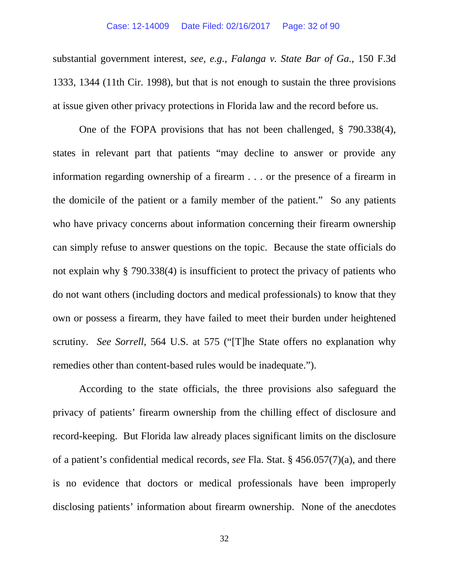substantial government interest, *see, e.g.*, *Falanga v. State Bar of Ga.*, 150 F.3d 1333, 1344 (11th Cir. 1998), but that is not enough to sustain the three provisions at issue given other privacy protections in Florida law and the record before us.

One of the FOPA provisions that has not been challenged, § 790.338(4), states in relevant part that patients "may decline to answer or provide any information regarding ownership of a firearm . . . or the presence of a firearm in the domicile of the patient or a family member of the patient." So any patients who have privacy concerns about information concerning their firearm ownership can simply refuse to answer questions on the topic. Because the state officials do not explain why § 790.338(4) is insufficient to protect the privacy of patients who do not want others (including doctors and medical professionals) to know that they own or possess a firearm, they have failed to meet their burden under heightened scrutiny. *See Sorrell*, 564 U.S. at 575 ("[T]he State offers no explanation why remedies other than content-based rules would be inadequate.").

According to the state officials, the three provisions also safeguard the privacy of patients' firearm ownership from the chilling effect of disclosure and record-keeping. But Florida law already places significant limits on the disclosure of a patient's confidential medical records, *see* Fla. Stat. § 456.057(7)(a), and there is no evidence that doctors or medical professionals have been improperly disclosing patients' information about firearm ownership. None of the anecdotes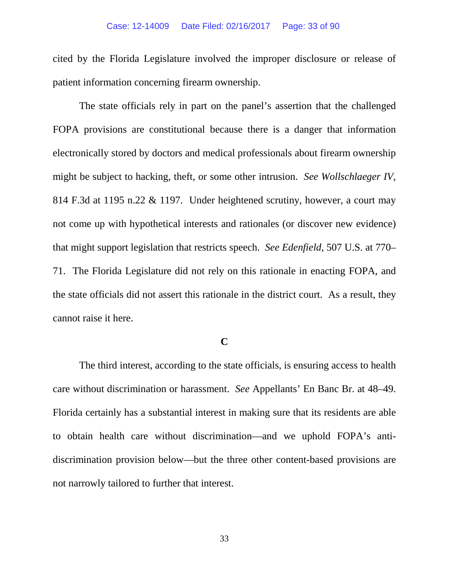cited by the Florida Legislature involved the improper disclosure or release of patient information concerning firearm ownership.

The state officials rely in part on the panel's assertion that the challenged FOPA provisions are constitutional because there is a danger that information electronically stored by doctors and medical professionals about firearm ownership might be subject to hacking, theft, or some other intrusion. *See Wollschlaeger IV*, 814 F.3d at 1195 n.22 & 1197. Under heightened scrutiny, however, a court may not come up with hypothetical interests and rationales (or discover new evidence) that might support legislation that restricts speech. *See Edenfield*, 507 U.S. at 770– 71. The Florida Legislature did not rely on this rationale in enacting FOPA, and the state officials did not assert this rationale in the district court. As a result, they cannot raise it here.

# **C**

The third interest, according to the state officials, is ensuring access to health care without discrimination or harassment. *See* Appellants' En Banc Br. at 48–49. Florida certainly has a substantial interest in making sure that its residents are able to obtain health care without discrimination—and we uphold FOPA's antidiscrimination provision below—but the three other content-based provisions are not narrowly tailored to further that interest.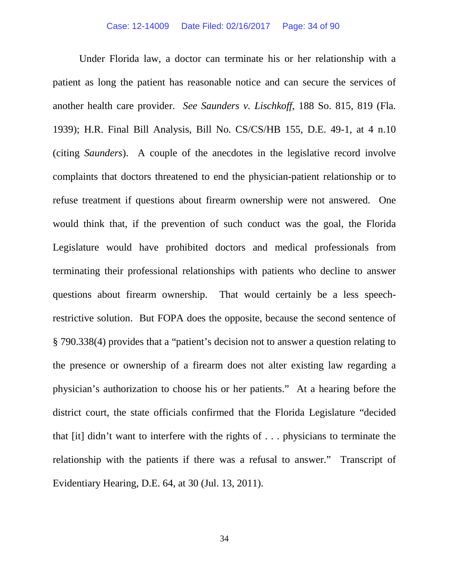Under Florida law, a doctor can terminate his or her relationship with a patient as long the patient has reasonable notice and can secure the services of another health care provider. *See Saunders v. Lischkoff*, 188 So. 815, 819 (Fla. 1939); H.R. Final Bill Analysis, Bill No. CS/CS/HB 155, D.E. 49-1, at 4 n.10 (citing *Saunders*). A couple of the anecdotes in the legislative record involve complaints that doctors threatened to end the physician-patient relationship or to refuse treatment if questions about firearm ownership were not answered. One would think that, if the prevention of such conduct was the goal, the Florida Legislature would have prohibited doctors and medical professionals from terminating their professional relationships with patients who decline to answer questions about firearm ownership. That would certainly be a less speechrestrictive solution. But FOPA does the opposite, because the second sentence of § 790.338(4) provides that a "patient's decision not to answer a question relating to the presence or ownership of a firearm does not alter existing law regarding a physician's authorization to choose his or her patients." At a hearing before the district court, the state officials confirmed that the Florida Legislature "decided that [it] didn't want to interfere with the rights of . . . physicians to terminate the relationship with the patients if there was a refusal to answer." Transcript of Evidentiary Hearing, D.E. 64, at 30 (Jul. 13, 2011).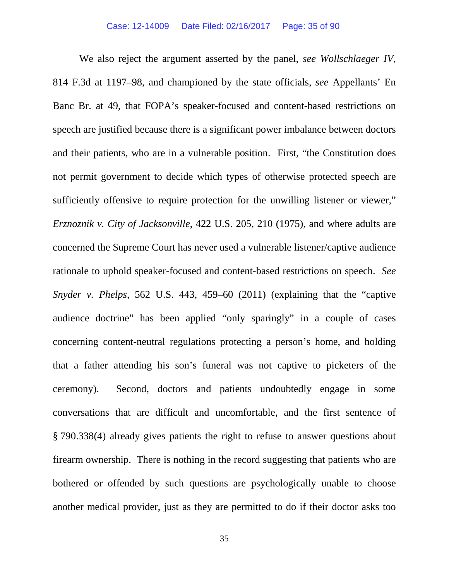We also reject the argument asserted by the panel, *see Wollschlaeger IV*, 814 F.3d at 1197–98, and championed by the state officials, *see* Appellants' En Banc Br. at 49, that FOPA's speaker-focused and content-based restrictions on speech are justified because there is a significant power imbalance between doctors and their patients, who are in a vulnerable position. First, "the Constitution does not permit government to decide which types of otherwise protected speech are sufficiently offensive to require protection for the unwilling listener or viewer," *Erznoznik v. City of Jacksonville*, 422 U.S. 205, 210 (1975), and where adults are concerned the Supreme Court has never used a vulnerable listener/captive audience rationale to uphold speaker-focused and content-based restrictions on speech. *See Snyder v. Phelps*, 562 U.S. 443, 459–60 (2011) (explaining that the "captive audience doctrine" has been applied "only sparingly" in a couple of cases concerning content-neutral regulations protecting a person's home, and holding that a father attending his son's funeral was not captive to picketers of the ceremony). Second, doctors and patients undoubtedly engage in some conversations that are difficult and uncomfortable, and the first sentence of § 790.338(4) already gives patients the right to refuse to answer questions about firearm ownership. There is nothing in the record suggesting that patients who are bothered or offended by such questions are psychologically unable to choose another medical provider, just as they are permitted to do if their doctor asks too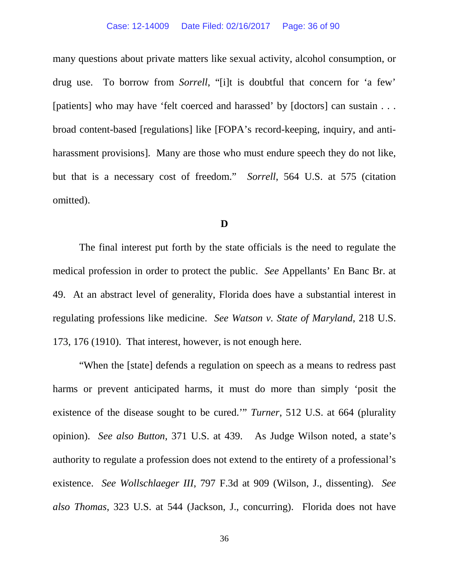many questions about private matters like sexual activity, alcohol consumption, or drug use. To borrow from *Sorrell*, "[i]t is doubtful that concern for 'a few' [patients] who may have 'felt coerced and harassed' by [doctors] can sustain . . . broad content-based [regulations] like [FOPA's record-keeping, inquiry, and antiharassment provisions]. Many are those who must endure speech they do not like, but that is a necessary cost of freedom." *Sorrell*, 564 U.S. at 575 (citation omitted).

#### **D**

The final interest put forth by the state officials is the need to regulate the medical profession in order to protect the public. *See* Appellants' En Banc Br. at 49. At an abstract level of generality, Florida does have a substantial interest in regulating professions like medicine. *See Watson v. State of Maryland*, 218 U.S. 173, 176 (1910). That interest, however, is not enough here.

"When the [state] defends a regulation on speech as a means to redress past harms or prevent anticipated harms, it must do more than simply 'posit the existence of the disease sought to be cured.'" *Turner*, 512 U.S. at 664 (plurality opinion). *See also Button*, 371 U.S. at 439. As Judge Wilson noted, a state's authority to regulate a profession does not extend to the entirety of a professional's existence. *See Wollschlaeger III*, 797 F.3d at 909 (Wilson, J., dissenting). *See also Thomas*, 323 U.S. at 544 (Jackson, J., concurring). Florida does not have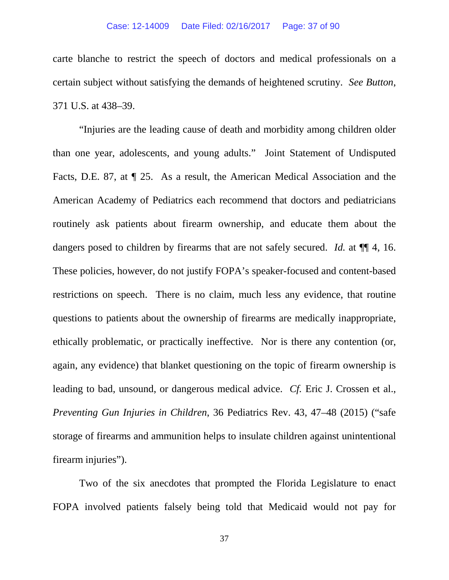carte blanche to restrict the speech of doctors and medical professionals on a certain subject without satisfying the demands of heightened scrutiny. *See Button*, 371 U.S. at 438–39.

"Injuries are the leading cause of death and morbidity among children older than one year, adolescents, and young adults." Joint Statement of Undisputed Facts, D.E. 87, at ¶ 25. As a result, the American Medical Association and the American Academy of Pediatrics each recommend that doctors and pediatricians routinely ask patients about firearm ownership, and educate them about the dangers posed to children by firearms that are not safely secured. *Id.* at  $\P\P$  4, 16. These policies, however, do not justify FOPA's speaker-focused and content-based restrictions on speech. There is no claim, much less any evidence, that routine questions to patients about the ownership of firearms are medically inappropriate, ethically problematic, or practically ineffective. Nor is there any contention (or, again, any evidence) that blanket questioning on the topic of firearm ownership is leading to bad, unsound, or dangerous medical advice. *Cf.* Eric J. Crossen et al., *Preventing Gun Injuries in Children*, 36 Pediatrics Rev. 43, 47–48 (2015) ("safe storage of firearms and ammunition helps to insulate children against unintentional firearm injuries").

Two of the six anecdotes that prompted the Florida Legislature to enact FOPA involved patients falsely being told that Medicaid would not pay for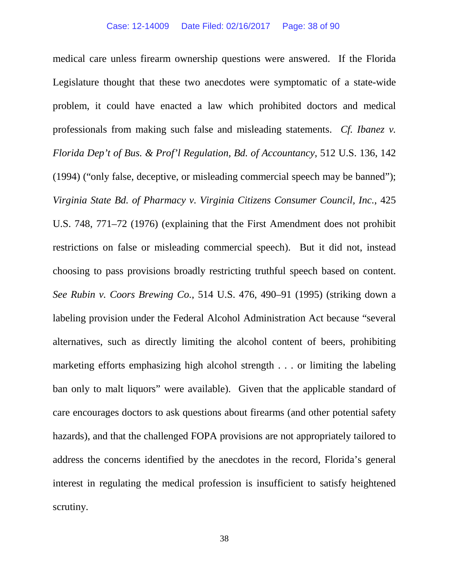medical care unless firearm ownership questions were answered. If the Florida Legislature thought that these two anecdotes were symptomatic of a state-wide problem, it could have enacted a law which prohibited doctors and medical professionals from making such false and misleading statements. *Cf. Ibanez v. Florida Dep't of Bus. & Prof'l Regulation, Bd. of Accountancy*, 512 U.S. 136, 142 (1994) ("only false, deceptive, or misleading commercial speech may be banned"); *Virginia State Bd. of Pharmacy v. Virginia Citizens Consumer Council, Inc.*, 425 U.S. 748, 771–72 (1976) (explaining that the First Amendment does not prohibit restrictions on false or misleading commercial speech). But it did not, instead choosing to pass provisions broadly restricting truthful speech based on content. *See Rubin v. Coors Brewing Co.*, 514 U.S. 476, 490–91 (1995) (striking down a labeling provision under the Federal Alcohol Administration Act because "several alternatives, such as directly limiting the alcohol content of beers, prohibiting marketing efforts emphasizing high alcohol strength . . . or limiting the labeling ban only to malt liquors" were available). Given that the applicable standard of care encourages doctors to ask questions about firearms (and other potential safety hazards), and that the challenged FOPA provisions are not appropriately tailored to address the concerns identified by the anecdotes in the record, Florida's general interest in regulating the medical profession is insufficient to satisfy heightened scrutiny.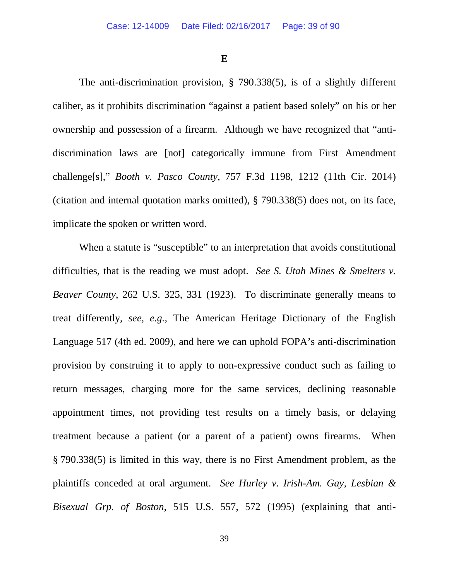**E**

The anti-discrimination provision, § 790.338(5), is of a slightly different caliber, as it prohibits discrimination "against a patient based solely" on his or her ownership and possession of a firearm. Although we have recognized that "antidiscrimination laws are [not] categorically immune from First Amendment challenge[s]," *Booth v. Pasco County*, 757 F.3d 1198, 1212 (11th Cir. 2014) (citation and internal quotation marks omitted), § 790.338(5) does not, on its face, implicate the spoken or written word.

When a statute is "susceptible" to an interpretation that avoids constitutional difficulties, that is the reading we must adopt. *See S. Utah Mines & Smelters v. Beaver County*, 262 U.S. 325, 331 (1923). To discriminate generally means to treat differently, *see, e.g.*, The American Heritage Dictionary of the English Language 517 (4th ed. 2009), and here we can uphold FOPA's anti-discrimination provision by construing it to apply to non-expressive conduct such as failing to return messages, charging more for the same services, declining reasonable appointment times, not providing test results on a timely basis, or delaying treatment because a patient (or a parent of a patient) owns firearms. When § 790.338(5) is limited in this way, there is no First Amendment problem, as the plaintiffs conceded at oral argument. *See Hurley v. Irish-Am. Gay, Lesbian & Bisexual Grp. of Boston*, 515 U.S. 557, 572 (1995) (explaining that anti-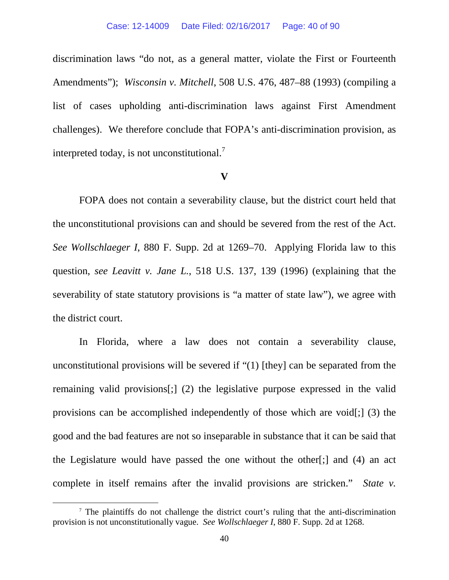discrimination laws "do not, as a general matter, violate the First or Fourteenth Amendments"); *Wisconsin v. Mitchell*, 508 U.S. 476, 487–88 (1993) (compiling a list of cases upholding anti-discrimination laws against First Amendment challenges). We therefore conclude that FOPA's anti-discrimination provision, as interpreted today, is not unconstitutional.<sup>[7](#page-39-0)</sup>

# **V**

FOPA does not contain a severability clause, but the district court held that the unconstitutional provisions can and should be severed from the rest of the Act. *See Wollschlaeger I*, 880 F. Supp. 2d at 1269–70. Applying Florida law to this question, *see Leavitt v. Jane L.*, 518 U.S. 137, 139 (1996) (explaining that the severability of state statutory provisions is "a matter of state law"), we agree with the district court.

In Florida, where a law does not contain a severability clause, unconstitutional provisions will be severed if "(1) [they] can be separated from the remaining valid provisions[;] (2) the legislative purpose expressed in the valid provisions can be accomplished independently of those which are void[;] (3) the good and the bad features are not so inseparable in substance that it can be said that the Legislature would have passed the one without the other[;] and (4) an act complete in itself remains after the invalid provisions are stricken." *State v.* 

<span id="page-39-0"></span> $\alpha$  The plaintiffs do not challenge the district court's ruling that the anti-discrimination provision is not unconstitutionally vague. *See Wollschlaeger I*, 880 F. Supp. 2d at 1268.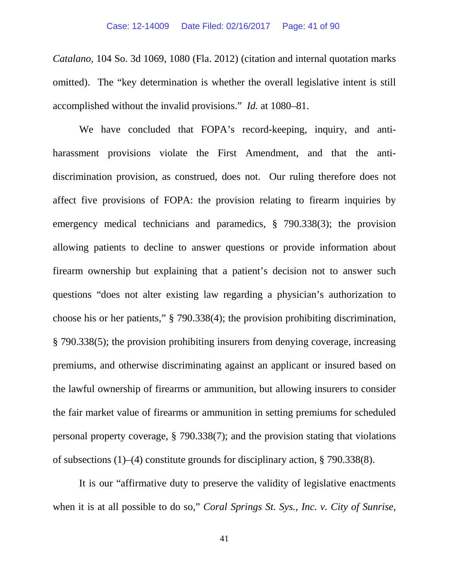*Catalano*, 104 So. 3d 1069, 1080 (Fla. 2012) (citation and internal quotation marks omitted). The "key determination is whether the overall legislative intent is still accomplished without the invalid provisions." *Id.* at 1080–81.

We have concluded that FOPA's record-keeping, inquiry, and antiharassment provisions violate the First Amendment, and that the antidiscrimination provision, as construed, does not. Our ruling therefore does not affect five provisions of FOPA: the provision relating to firearm inquiries by emergency medical technicians and paramedics, § 790.338(3); the provision allowing patients to decline to answer questions or provide information about firearm ownership but explaining that a patient's decision not to answer such questions "does not alter existing law regarding a physician's authorization to choose his or her patients," § 790.338(4); the provision prohibiting discrimination, § 790.338(5); the provision prohibiting insurers from denying coverage, increasing premiums, and otherwise discriminating against an applicant or insured based on the lawful ownership of firearms or ammunition, but allowing insurers to consider the fair market value of firearms or ammunition in setting premiums for scheduled personal property coverage, § 790.338(7); and the provision stating that violations of subsections (1)–(4) constitute grounds for disciplinary action, § 790.338(8).

It is our "affirmative duty to preserve the validity of legislative enactments when it is at all possible to do so," *Coral Springs St. Sys., Inc. v. City of Sunrise*,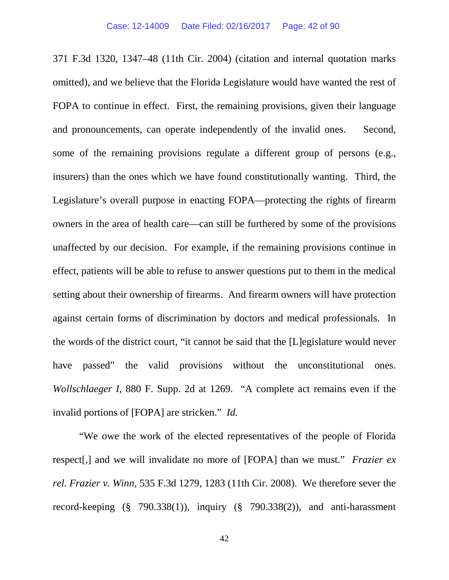371 F.3d 1320, 1347–48 (11th Cir. 2004) (citation and internal quotation marks omitted), and we believe that the Florida Legislature would have wanted the rest of FOPA to continue in effect. First, the remaining provisions, given their language and pronouncements, can operate independently of the invalid ones. Second, some of the remaining provisions regulate a different group of persons (e.g., insurers) than the ones which we have found constitutionally wanting. Third, the Legislature's overall purpose in enacting FOPA—protecting the rights of firearm owners in the area of health care—can still be furthered by some of the provisions unaffected by our decision. For example, if the remaining provisions continue in effect, patients will be able to refuse to answer questions put to them in the medical setting about their ownership of firearms. And firearm owners will have protection against certain forms of discrimination by doctors and medical professionals. In the words of the district court, "it cannot be said that the [L]egislature would never have passed" the valid provisions without the unconstitutional ones. *Wollschlaeger I*, 880 F. Supp. 2d at 1269. "A complete act remains even if the invalid portions of [FOPA] are stricken." *Id.*

"We owe the work of the elected representatives of the people of Florida respect[,] and we will invalidate no more of [FOPA] than we must." *Frazier ex rel. Frazier v. Winn*, 535 F.3d 1279, 1283 (11th Cir. 2008). We therefore sever the record-keeping (§ 790.338(1)), inquiry (§ 790.338(2)), and anti-harassment

42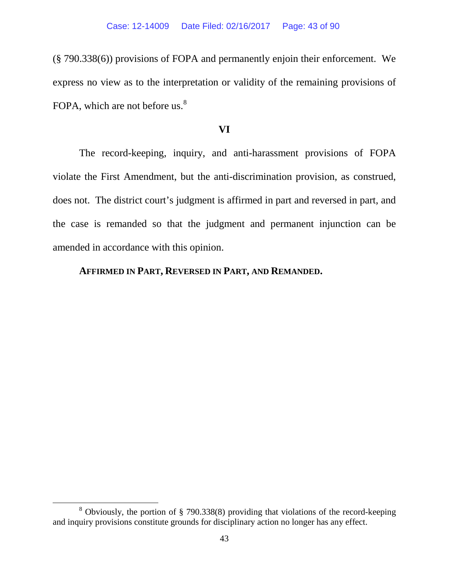(§ 790.338(6)) provisions of FOPA and permanently enjoin their enforcement. We express no view as to the interpretation or validity of the remaining provisions of FOPA, which are not before us.<sup>[8](#page-42-0)</sup>

# **VI**

The record-keeping, inquiry, and anti-harassment provisions of FOPA violate the First Amendment, but the anti-discrimination provision, as construed, does not. The district court's judgment is affirmed in part and reversed in part, and the case is remanded so that the judgment and permanent injunction can be amended in accordance with this opinion.

**AFFIRMED IN PART, REVERSED IN PART, AND REMANDED.**

<span id="page-42-0"></span> <sup>8</sup> Obviously, the portion of § 790.338(8) providing that violations of the record-keeping and inquiry provisions constitute grounds for disciplinary action no longer has any effect.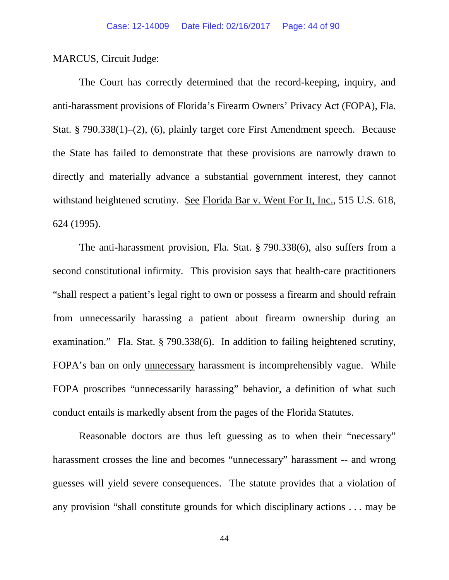MARCUS, Circuit Judge:

The Court has correctly determined that the record-keeping, inquiry, and anti-harassment provisions of Florida's Firearm Owners' Privacy Act (FOPA), Fla. Stat. § 790.338(1)–(2), (6), plainly target core First Amendment speech. Because the State has failed to demonstrate that these provisions are narrowly drawn to directly and materially advance a substantial government interest, they cannot withstand heightened scrutiny. See Florida Bar v. Went For It, Inc., 515 U.S. 618, 624 (1995).

The anti-harassment provision, Fla. Stat. § 790.338(6), also suffers from a second constitutional infirmity. This provision says that health-care practitioners "shall respect a patient's legal right to own or possess a firearm and should refrain from unnecessarily harassing a patient about firearm ownership during an examination." Fla. Stat. § 790.338(6). In addition to failing heightened scrutiny, FOPA's ban on only unnecessary harassment is incomprehensibly vague. While FOPA proscribes "unnecessarily harassing" behavior, a definition of what such conduct entails is markedly absent from the pages of the Florida Statutes.

Reasonable doctors are thus left guessing as to when their "necessary" harassment crosses the line and becomes "unnecessary" harassment -- and wrong guesses will yield severe consequences. The statute provides that a violation of any provision "shall constitute grounds for which disciplinary actions . . . may be

44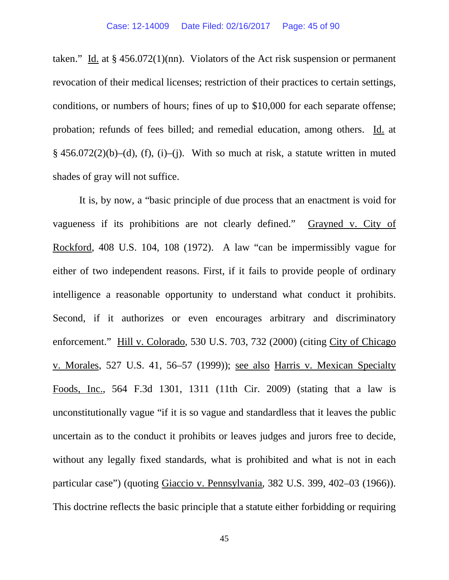taken." Id. at § 456.072(1)(nn). Violators of the Act risk suspension or permanent revocation of their medical licenses; restriction of their practices to certain settings, conditions, or numbers of hours; fines of up to \$10,000 for each separate offense; probation; refunds of fees billed; and remedial education, among others. Id. at  $\S$  456.072(2)(b)–(d), (f), (i)–(j). With so much at risk, a statute written in muted shades of gray will not suffice.

It is, by now, a "basic principle of due process that an enactment is void for vagueness if its prohibitions are not clearly defined." Grayned v. City of Rockford, 408 U.S. 104, 108 (1972). A law "can be impermissibly vague for either of two independent reasons. First, if it fails to provide people of ordinary intelligence a reasonable opportunity to understand what conduct it prohibits. Second, if it authorizes or even encourages arbitrary and discriminatory enforcement." Hill v. Colorado, 530 U.S. 703, 732 (2000) (citing City of Chicago v. Morales, 527 U.S. 41, 56–57 (1999)); see also Harris v. Mexican Specialty Foods, Inc., 564 F.3d 1301, 1311 (11th Cir. 2009) (stating that a law is unconstitutionally vague "if it is so vague and standardless that it leaves the public uncertain as to the conduct it prohibits or leaves judges and jurors free to decide, without any legally fixed standards, what is prohibited and what is not in each particular case") (quoting Giaccio v. Pennsylvania, 382 U.S. 399, 402–03 (1966)). This doctrine reflects the basic principle that a statute either forbidding or requiring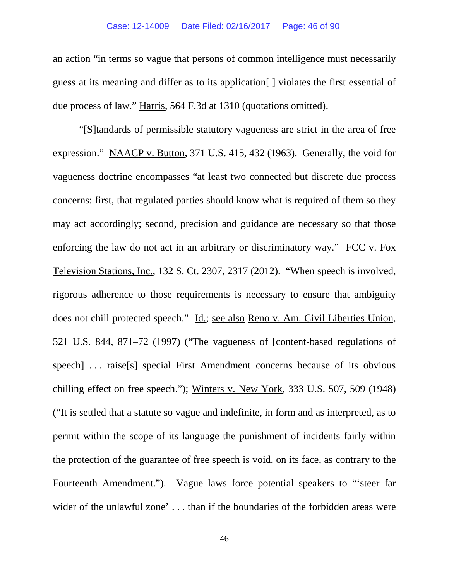### Case: 12-14009 Date Filed: 02/16/2017 Page: 46 of 90

an action "in terms so vague that persons of common intelligence must necessarily guess at its meaning and differ as to its application[ ] violates the first essential of due process of law." Harris, 564 F.3d at 1310 (quotations omitted).

"[S]tandards of permissible statutory vagueness are strict in the area of free expression." NAACP v. Button, 371 U.S. 415, 432 (1963). Generally, the void for vagueness doctrine encompasses "at least two connected but discrete due process concerns: first, that regulated parties should know what is required of them so they may act accordingly; second, precision and guidance are necessary so that those enforcing the law do not act in an arbitrary or discriminatory way." FCC v. Fox Television Stations, Inc., 132 S. Ct. 2307, 2317 (2012). "When speech is involved, rigorous adherence to those requirements is necessary to ensure that ambiguity does not chill protected speech." Id.; see also Reno v. Am. Civil Liberties Union, 521 U.S. 844, 871–72 (1997) ("The vagueness of [content-based regulations of speech] ... raise[s] special First Amendment concerns because of its obvious chilling effect on free speech."); Winters v. New York, 333 U.S. 507, 509 (1948) ("It is settled that a statute so vague and indefinite, in form and as interpreted, as to permit within the scope of its language the punishment of incidents fairly within the protection of the guarantee of free speech is void, on its face, as contrary to the Fourteenth Amendment."). Vague laws force potential speakers to "'steer far wider of the unlawful zone' ... than if the boundaries of the forbidden areas were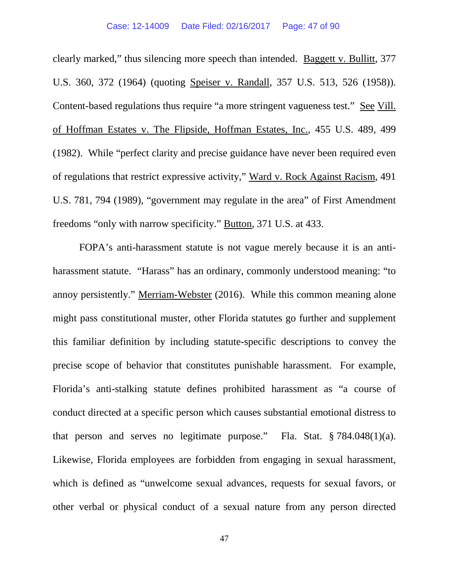clearly marked," thus silencing more speech than intended. Baggett v. Bullitt, 377 U.S. 360, 372 (1964) (quoting Speiser v. Randall, 357 U.S. 513, 526 (1958)). Content-based regulations thus require "a more stringent vagueness test." See Vill. of Hoffman Estates v. The Flipside, Hoffman Estates, Inc., 455 U.S. 489, 499 (1982). While "perfect clarity and precise guidance have never been required even of regulations that restrict expressive activity," Ward v. Rock Against Racism, 491 U.S. 781, 794 (1989), "government may regulate in the area" of First Amendment freedoms "only with narrow specificity." Button, 371 U.S. at 433.

FOPA's anti-harassment statute is not vague merely because it is an antiharassment statute. "Harass" has an ordinary, commonly understood meaning: "to annoy persistently." Merriam-Webster (2016). While this common meaning alone might pass constitutional muster, other Florida statutes go further and supplement this familiar definition by including statute-specific descriptions to convey the precise scope of behavior that constitutes punishable harassment. For example, Florida's anti-stalking statute defines prohibited harassment as "a course of conduct directed at a specific person which causes substantial emotional distress to that person and serves no legitimate purpose." Fla. Stat.  $\S 784.048(1)(a)$ . Likewise, Florida employees are forbidden from engaging in sexual harassment, which is defined as "unwelcome sexual advances, requests for sexual favors, or other verbal or physical conduct of a sexual nature from any person directed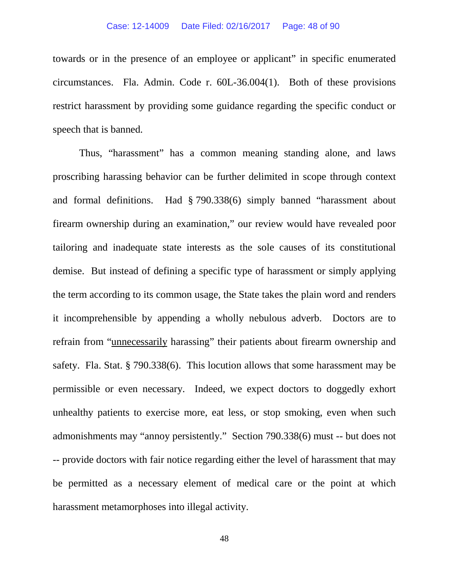towards or in the presence of an employee or applicant" in specific enumerated circumstances. Fla. Admin. Code r. 60L-36.004(1). Both of these provisions restrict harassment by providing some guidance regarding the specific conduct or speech that is banned.

Thus, "harassment" has a common meaning standing alone, and laws proscribing harassing behavior can be further delimited in scope through context and formal definitions. Had § 790.338(6) simply banned "harassment about firearm ownership during an examination," our review would have revealed poor tailoring and inadequate state interests as the sole causes of its constitutional demise. But instead of defining a specific type of harassment or simply applying the term according to its common usage, the State takes the plain word and renders it incomprehensible by appending a wholly nebulous adverb. Doctors are to refrain from "unnecessarily harassing" their patients about firearm ownership and safety. Fla. Stat. § 790.338(6). This locution allows that some harassment may be permissible or even necessary. Indeed, we expect doctors to doggedly exhort unhealthy patients to exercise more, eat less, or stop smoking, even when such admonishments may "annoy persistently." Section 790.338(6) must -- but does not -- provide doctors with fair notice regarding either the level of harassment that may be permitted as a necessary element of medical care or the point at which harassment metamorphoses into illegal activity.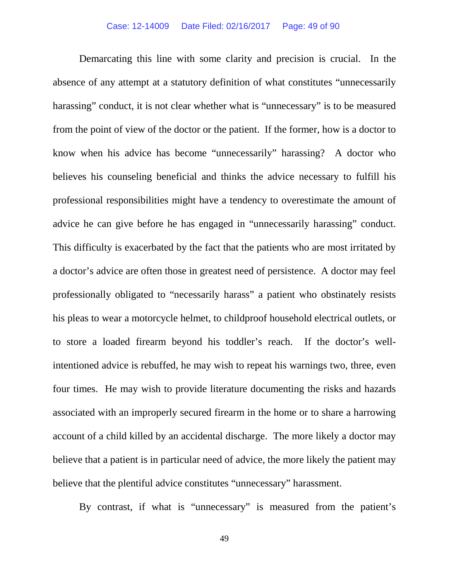Demarcating this line with some clarity and precision is crucial. In the absence of any attempt at a statutory definition of what constitutes "unnecessarily harassing" conduct, it is not clear whether what is "unnecessary" is to be measured from the point of view of the doctor or the patient. If the former, how is a doctor to know when his advice has become "unnecessarily" harassing? A doctor who believes his counseling beneficial and thinks the advice necessary to fulfill his professional responsibilities might have a tendency to overestimate the amount of advice he can give before he has engaged in "unnecessarily harassing" conduct. This difficulty is exacerbated by the fact that the patients who are most irritated by a doctor's advice are often those in greatest need of persistence. A doctor may feel professionally obligated to "necessarily harass" a patient who obstinately resists his pleas to wear a motorcycle helmet, to childproof household electrical outlets, or to store a loaded firearm beyond his toddler's reach. If the doctor's wellintentioned advice is rebuffed, he may wish to repeat his warnings two, three, even four times. He may wish to provide literature documenting the risks and hazards associated with an improperly secured firearm in the home or to share a harrowing account of a child killed by an accidental discharge. The more likely a doctor may believe that a patient is in particular need of advice, the more likely the patient may believe that the plentiful advice constitutes "unnecessary" harassment.

By contrast, if what is "unnecessary" is measured from the patient's

49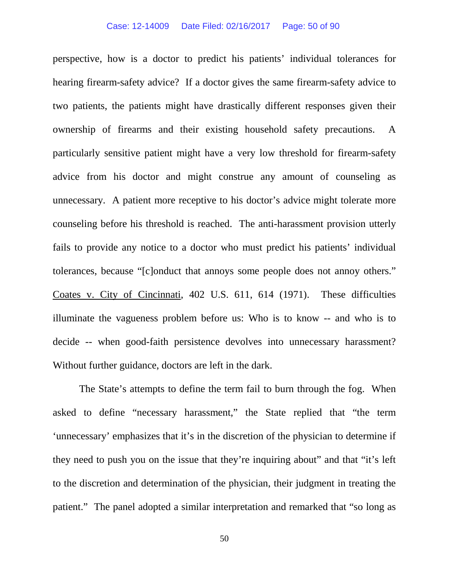perspective, how is a doctor to predict his patients' individual tolerances for hearing firearm-safety advice? If a doctor gives the same firearm-safety advice to two patients, the patients might have drastically different responses given their ownership of firearms and their existing household safety precautions. A particularly sensitive patient might have a very low threshold for firearm-safety advice from his doctor and might construe any amount of counseling as unnecessary. A patient more receptive to his doctor's advice might tolerate more counseling before his threshold is reached. The anti-harassment provision utterly fails to provide any notice to a doctor who must predict his patients' individual tolerances, because "[c]onduct that annoys some people does not annoy others." Coates v. City of Cincinnati, 402 U.S. 611, 614 (1971). These difficulties illuminate the vagueness problem before us: Who is to know -- and who is to decide -- when good-faith persistence devolves into unnecessary harassment? Without further guidance, doctors are left in the dark.

The State's attempts to define the term fail to burn through the fog. When asked to define "necessary harassment," the State replied that "the term 'unnecessary' emphasizes that it's in the discretion of the physician to determine if they need to push you on the issue that they're inquiring about" and that "it's left to the discretion and determination of the physician, their judgment in treating the patient." The panel adopted a similar interpretation and remarked that "so long as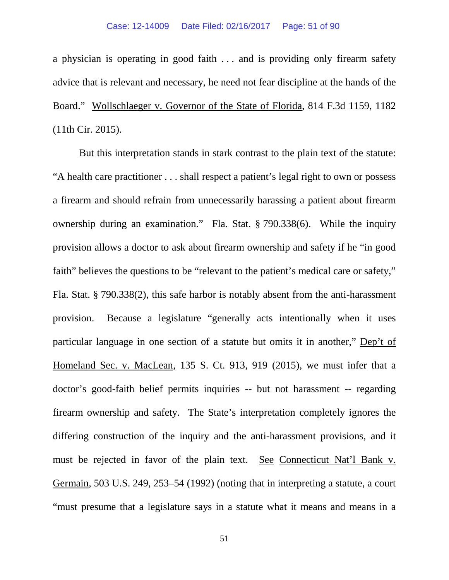a physician is operating in good faith . . . and is providing only firearm safety advice that is relevant and necessary, he need not fear discipline at the hands of the Board." Wollschlaeger v. Governor of the State of Florida, 814 F.3d 1159, 1182 (11th Cir. 2015).

But this interpretation stands in stark contrast to the plain text of the statute: "A health care practitioner . . . shall respect a patient's legal right to own or possess a firearm and should refrain from unnecessarily harassing a patient about firearm ownership during an examination." Fla. Stat. § 790.338(6). While the inquiry provision allows a doctor to ask about firearm ownership and safety if he "in good faith" believes the questions to be "relevant to the patient's medical care or safety," Fla. Stat. § 790.338(2), this safe harbor is notably absent from the anti-harassment provision. Because a legislature "generally acts intentionally when it uses particular language in one section of a statute but omits it in another," Dep't of Homeland Sec. v. MacLean, 135 S. Ct. 913, 919 (2015), we must infer that a doctor's good-faith belief permits inquiries -- but not harassment -- regarding firearm ownership and safety. The State's interpretation completely ignores the differing construction of the inquiry and the anti-harassment provisions, and it must be rejected in favor of the plain text. See Connecticut Nat'l Bank v. Germain, 503 U.S. 249, 253–54 (1992) (noting that in interpreting a statute, a court "must presume that a legislature says in a statute what it means and means in a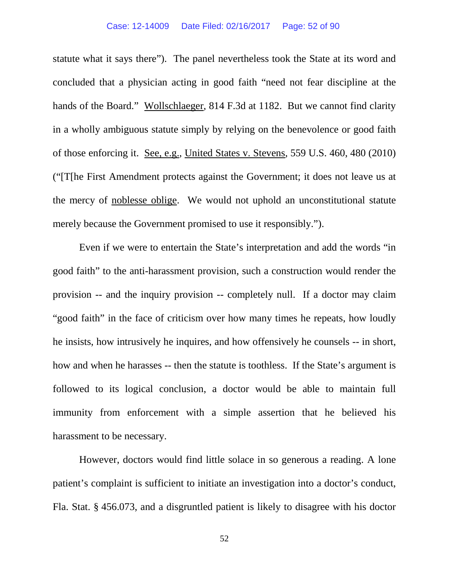statute what it says there"). The panel nevertheless took the State at its word and concluded that a physician acting in good faith "need not fear discipline at the hands of the Board." Wollschlaeger, 814 F.3d at 1182. But we cannot find clarity in a wholly ambiguous statute simply by relying on the benevolence or good faith of those enforcing it. See, e.g., United States v. Stevens, 559 U.S. 460, 480 (2010) ("[T[he First Amendment protects against the Government; it does not leave us at the mercy of noblesse oblige. We would not uphold an unconstitutional statute merely because the Government promised to use it responsibly.").

Even if we were to entertain the State's interpretation and add the words "in good faith" to the anti-harassment provision, such a construction would render the provision -- and the inquiry provision -- completely null. If a doctor may claim "good faith" in the face of criticism over how many times he repeats, how loudly he insists, how intrusively he inquires, and how offensively he counsels -- in short, how and when he harasses -- then the statute is toothless. If the State's argument is followed to its logical conclusion, a doctor would be able to maintain full immunity from enforcement with a simple assertion that he believed his harassment to be necessary.

However, doctors would find little solace in so generous a reading. A lone patient's complaint is sufficient to initiate an investigation into a doctor's conduct, Fla. Stat. § 456.073, and a disgruntled patient is likely to disagree with his doctor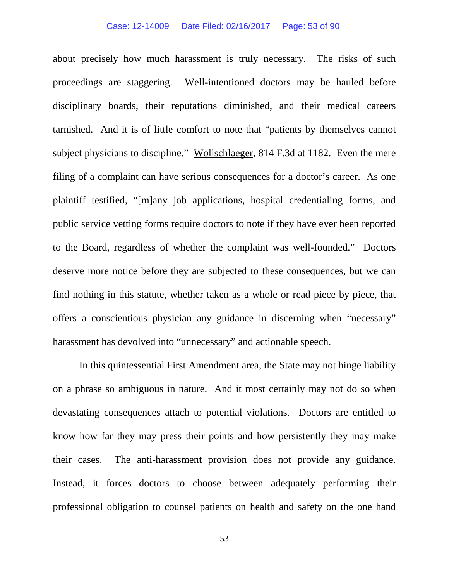### Case: 12-14009 Date Filed: 02/16/2017 Page: 53 of 90

about precisely how much harassment is truly necessary. The risks of such proceedings are staggering. Well-intentioned doctors may be hauled before disciplinary boards, their reputations diminished, and their medical careers tarnished. And it is of little comfort to note that "patients by themselves cannot subject physicians to discipline." Wollschlaeger, 814 F.3d at 1182. Even the mere filing of a complaint can have serious consequences for a doctor's career. As one plaintiff testified, "[m]any job applications, hospital credentialing forms, and public service vetting forms require doctors to note if they have ever been reported to the Board, regardless of whether the complaint was well-founded." Doctors deserve more notice before they are subjected to these consequences, but we can find nothing in this statute, whether taken as a whole or read piece by piece, that offers a conscientious physician any guidance in discerning when "necessary" harassment has devolved into "unnecessary" and actionable speech.

In this quintessential First Amendment area, the State may not hinge liability on a phrase so ambiguous in nature. And it most certainly may not do so when devastating consequences attach to potential violations. Doctors are entitled to know how far they may press their points and how persistently they may make their cases. The anti-harassment provision does not provide any guidance. Instead, it forces doctors to choose between adequately performing their professional obligation to counsel patients on health and safety on the one hand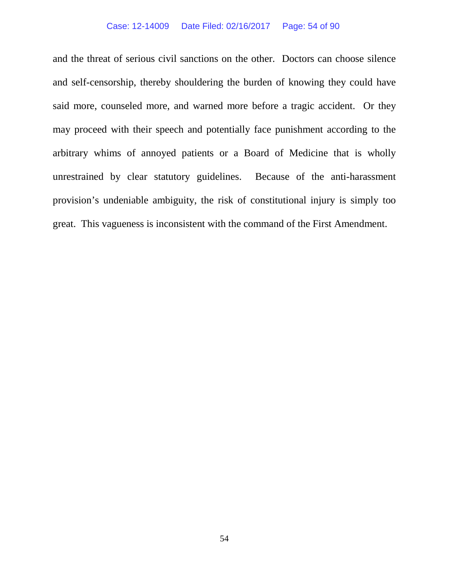### Case: 12-14009 Date Filed: 02/16/2017 Page: 54 of 90

and the threat of serious civil sanctions on the other. Doctors can choose silence and self-censorship, thereby shouldering the burden of knowing they could have said more, counseled more, and warned more before a tragic accident. Or they may proceed with their speech and potentially face punishment according to the arbitrary whims of annoyed patients or a Board of Medicine that is wholly unrestrained by clear statutory guidelines. Because of the anti-harassment provision's undeniable ambiguity, the risk of constitutional injury is simply too great. This vagueness is inconsistent with the command of the First Amendment.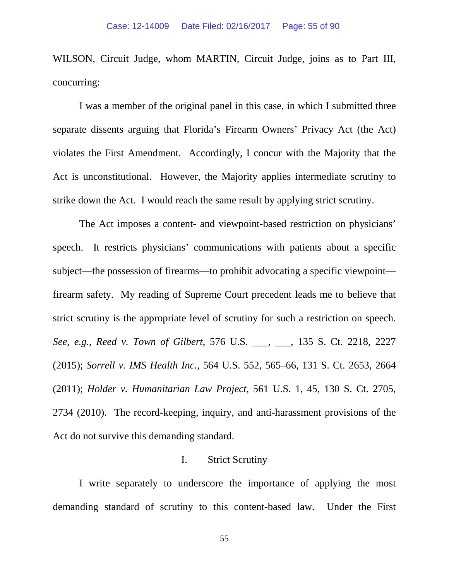WILSON, Circuit Judge, whom MARTIN, Circuit Judge, joins as to Part III, concurring:

I was a member of the original panel in this case, in which I submitted three separate dissents arguing that Florida's Firearm Owners' Privacy Act (the Act) violates the First Amendment. Accordingly, I concur with the Majority that the Act is unconstitutional. However, the Majority applies intermediate scrutiny to strike down the Act. I would reach the same result by applying strict scrutiny.

The Act imposes a content- and viewpoint-based restriction on physicians' speech. It restricts physicians' communications with patients about a specific subject—the possession of firearms—to prohibit advocating a specific viewpoint–– firearm safety. My reading of Supreme Court precedent leads me to believe that strict scrutiny is the appropriate level of scrutiny for such a restriction on speech. *See, e.g.*, *Reed v. Town of Gilbert*, 576 U.S. \_\_\_, \_\_\_, 135 S. Ct. 2218, 2227 (2015); *Sorrell v. IMS Health Inc.*, 564 U.S. 552, 565–66, 131 S. Ct. 2653, 2664 (2011); *Holder v. Humanitarian Law Project*, 561 U.S. 1, 45, 130 S. Ct. 2705, 2734 (2010). The record-keeping, inquiry, and anti-harassment provisions of the Act do not survive this demanding standard.

# I. Strict Scrutiny

I write separately to underscore the importance of applying the most demanding standard of scrutiny to this content-based law. Under the First

55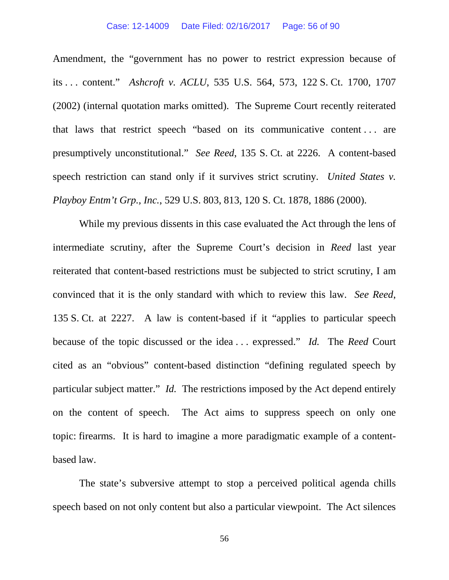Amendment, the "government has no power to restrict expression because of its . . . content." *Ashcroft v. ACLU*, 535 U.S. 564, 573, 122 S. Ct. 1700, 1707 (2002) (internal quotation marks omitted). The Supreme Court recently reiterated that laws that restrict speech "based on its communicative content . . . are presumptively unconstitutional." *See Reed*, 135 S. Ct. at 2226. A content-based speech restriction can stand only if it survives strict scrutiny. *United States v. Playboy Entm't Grp., Inc.*, 529 U.S. 803, 813, 120 S. Ct. 1878, 1886 (2000).

While my previous dissents in this case evaluated the Act through the lens of intermediate scrutiny, after the Supreme Court's decision in *Reed* last year reiterated that content-based restrictions must be subjected to strict scrutiny, I am convinced that it is the only standard with which to review this law. *See Reed*, 135 S. Ct. at 2227. A law is content-based if it "applies to particular speech because of the topic discussed or the idea . . . expressed." *Id.* The *Reed* Court cited as an "obvious" content-based distinction "defining regulated speech by particular subject matter." *Id.* The restrictions imposed by the Act depend entirely on the content of speech. The Act aims to suppress speech on only one topic: firearms. It is hard to imagine a more paradigmatic example of a contentbased law.

The state's subversive attempt to stop a perceived political agenda chills speech based on not only content but also a particular viewpoint. The Act silences

56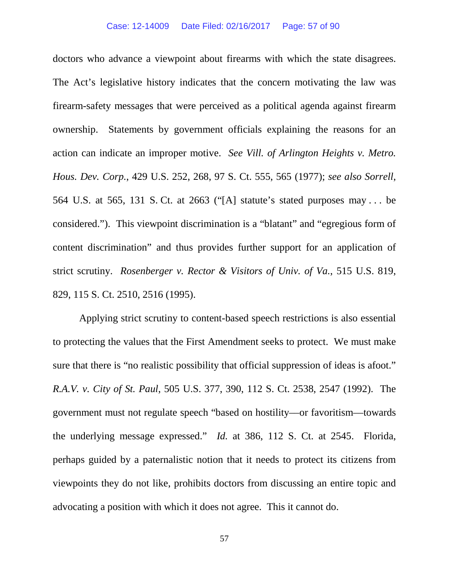doctors who advance a viewpoint about firearms with which the state disagrees. The Act's legislative history indicates that the concern motivating the law was firearm-safety messages that were perceived as a political agenda against firearm ownership. Statements by government officials explaining the reasons for an action can indicate an improper motive. *See Vill. of Arlington Heights v. Metro. Hous. Dev. Corp.*, 429 U.S. 252, 268, 97 S. Ct. 555, 565 (1977); *see also Sorrell*, 564 U.S. at 565, 131 S. Ct. at 2663 ("[A] statute's stated purposes may . . . be considered."). This viewpoint discrimination is a "blatant" and "egregious form of content discrimination" and thus provides further support for an application of strict scrutiny. *Rosenberger v. Rector & Visitors of Univ. of Va.*, 515 U.S. 819, 829, 115 S. Ct. 2510, 2516 (1995).

Applying strict scrutiny to content-based speech restrictions is also essential to protecting the values that the First Amendment seeks to protect. We must make sure that there is "no realistic possibility that official suppression of ideas is afoot." *R.A.V. v. City of St. Paul*, 505 U.S. 377, 390, 112 S. Ct. 2538, 2547 (1992). The government must not regulate speech "based on hostility––or favoritism––towards the underlying message expressed." *Id.* at 386, 112 S. Ct. at 2545. Florida, perhaps guided by a paternalistic notion that it needs to protect its citizens from viewpoints they do not like, prohibits doctors from discussing an entire topic and advocating a position with which it does not agree. This it cannot do.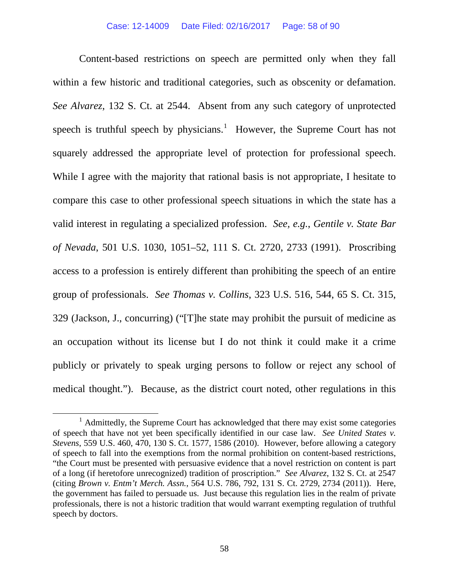Content-based restrictions on speech are permitted only when they fall within a few historic and traditional categories, such as obscenity or defamation. *See Alvarez*, 132 S. Ct. at 2544. Absent from any such category of unprotected speech is truthful speech by physicians.<sup>[1](#page-57-0)</sup> However, the Supreme Court has not squarely addressed the appropriate level of protection for professional speech. While I agree with the majority that rational basis is not appropriate, I hesitate to compare this case to other professional speech situations in which the state has a valid interest in regulating a specialized profession. *See, e.g.*, *Gentile v. State Bar of Nevada*, 501 U.S. 1030, 1051–52, 111 S. Ct. 2720, 2733 (1991). Proscribing access to a profession is entirely different than prohibiting the speech of an entire group of professionals. *See Thomas v. Collins*, 323 U.S. 516, 544, 65 S. Ct. 315, 329 (Jackson, J., concurring) ("[T]he state may prohibit the pursuit of medicine as an occupation without its license but I do not think it could make it a crime publicly or privately to speak urging persons to follow or reject any school of medical thought."). Because, as the district court noted, other regulations in this

<span id="page-57-0"></span> $<sup>1</sup>$  Admittedly, the Supreme Court has acknowledged that there may exist some categories</sup> of speech that have not yet been specifically identified in our case law. *See United States v. Stevens*, 559 U.S. 460, 470, 130 S. Ct. 1577, 1586 (2010). However, before allowing a category of speech to fall into the exemptions from the normal prohibition on content-based restrictions, "the Court must be presented with persuasive evidence that a novel restriction on content is part of a long (if heretofore unrecognized) tradition of proscription." *See Alvarez*, 132 S. Ct. at 2547 (citing *Brown v. Entm't Merch. Assn.*, 564 U.S. 786, 792, 131 S. Ct. 2729, 2734 (2011)). Here, the government has failed to persuade us. Just because this regulation lies in the realm of private professionals, there is not a historic tradition that would warrant exempting regulation of truthful speech by doctors.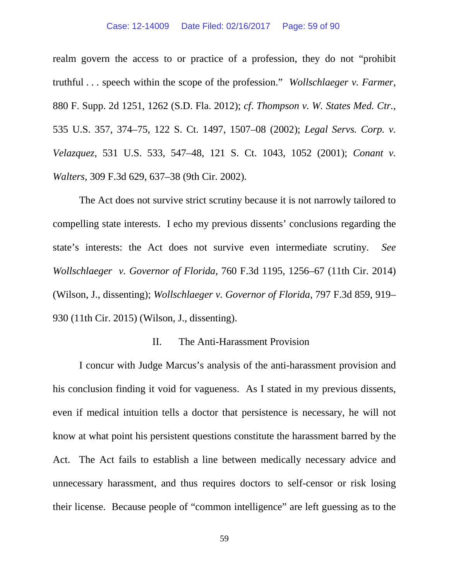#### Case: 12-14009 Date Filed: 02/16/2017 Page: 59 of 90

realm govern the access to or practice of a profession, they do not "prohibit truthful . . . speech within the scope of the profession." *Wollschlaeger v. Farmer*, 880 F. Supp. 2d 1251, 1262 (S.D. Fla. 2012); *cf*. *Thompson v. W. States Med. Ctr.*, 535 U.S. 357, 374–75, 122 S. Ct. 1497, 1507–08 (2002); *Legal Servs. Corp. v. Velazquez*, 531 U.S. 533, 547–48, 121 S. Ct. 1043, 1052 (2001); *Conant v. Walters*, 309 F.3d 629, 637–38 (9th Cir. 2002).

The Act does not survive strict scrutiny because it is not narrowly tailored to compelling state interests. I echo my previous dissents' conclusions regarding the state's interests: the Act does not survive even intermediate scrutiny. *See Wollschlaeger v. Governor of Florida*, 760 F.3d 1195, 1256–67 (11th Cir. 2014) (Wilson, J., dissenting); *Wollschlaeger v. Governor of Florida*, 797 F.3d 859, 919– 930 (11th Cir. 2015) (Wilson, J., dissenting).

### II. The Anti-Harassment Provision

I concur with Judge Marcus's analysis of the anti-harassment provision and his conclusion finding it void for vagueness. As I stated in my previous dissents, even if medical intuition tells a doctor that persistence is necessary, he will not know at what point his persistent questions constitute the harassment barred by the Act. The Act fails to establish a line between medically necessary advice and unnecessary harassment, and thus requires doctors to self-censor or risk losing their license. Because people of "common intelligence" are left guessing as to the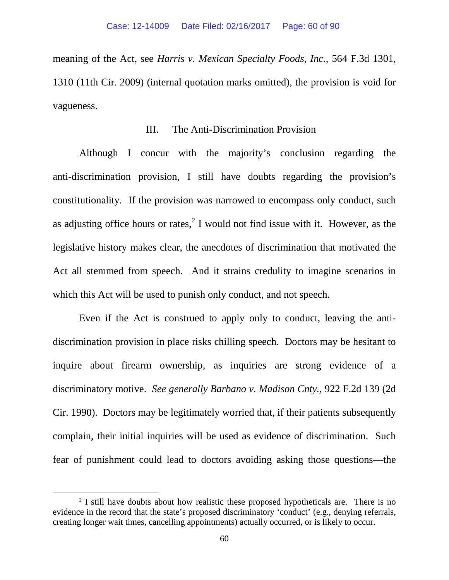meaning of the Act, see *Harris v. Mexican Specialty Foods, Inc.*, 564 F.3d 1301, 1310 (11th Cir. 2009) (internal quotation marks omitted), the provision is void for vagueness.

# III. The Anti-Discrimination Provision

Although I concur with the majority's conclusion regarding the anti-discrimination provision, I still have doubts regarding the provision's constitutionality. If the provision was narrowed to encompass only conduct, such as adjusting office hours or rates,  $2 \times 1$  $2 \times 1$  would not find issue with it. However, as the legislative history makes clear, the anecdotes of discrimination that motivated the Act all stemmed from speech. And it strains credulity to imagine scenarios in which this Act will be used to punish only conduct, and not speech.

Even if the Act is construed to apply only to conduct, leaving the antidiscrimination provision in place risks chilling speech. Doctors may be hesitant to inquire about firearm ownership, as inquiries are strong evidence of a discriminatory motive. *See generally Barbano v. Madison Cnty.*, 922 F.2d 139 (2d Cir. 1990). Doctors may be legitimately worried that, if their patients subsequently complain, their initial inquiries will be used as evidence of discrimination. Such fear of punishment could lead to doctors avoiding asking those questions––the

<span id="page-59-0"></span><sup>&</sup>lt;sup>2</sup> I still have doubts about how realistic these proposed hypotheticals are. There is no evidence in the record that the state's proposed discriminatory 'conduct' (e.g., denying referrals, creating longer wait times, cancelling appointments) actually occurred, or is likely to occur.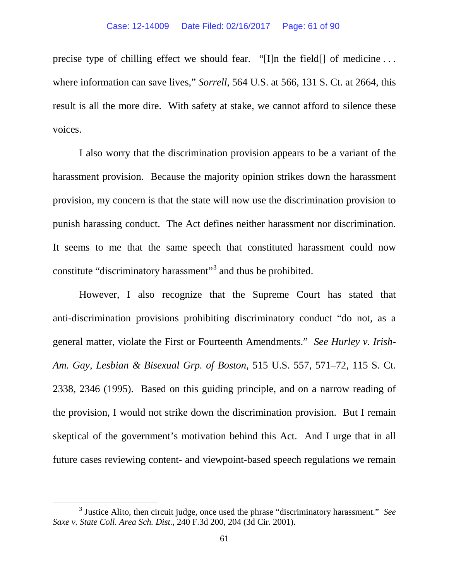precise type of chilling effect we should fear. "[I]n the field[] of medicine . . . where information can save lives," *Sorrell*, 564 U.S. at 566, 131 S. Ct. at 2664, this result is all the more dire. With safety at stake, we cannot afford to silence these voices.

I also worry that the discrimination provision appears to be a variant of the harassment provision. Because the majority opinion strikes down the harassment provision, my concern is that the state will now use the discrimination provision to punish harassing conduct. The Act defines neither harassment nor discrimination. It seems to me that the same speech that constituted harassment could now constitute "discriminatory harassment"<sup>[3](#page-60-0)</sup> and thus be prohibited.

However, I also recognize that the Supreme Court has stated that anti-discrimination provisions prohibiting discriminatory conduct "do not, as a general matter, violate the First or Fourteenth Amendments." *See Hurley v. Irish-Am. Gay, Lesbian & Bisexual Grp. of Boston*, 515 U.S. 557, 571–72, 115 S. Ct. 2338, 2346 (1995). Based on this guiding principle, and on a narrow reading of the provision, I would not strike down the discrimination provision. But I remain skeptical of the government's motivation behind this Act. And I urge that in all future cases reviewing content- and viewpoint-based speech regulations we remain

<span id="page-60-0"></span> <sup>3</sup> Justice Alito, then circuit judge, once used the phrase "discriminatory harassment." *See Saxe v. State Coll. Area Sch. Dist.*, 240 F.3d 200, 204 (3d Cir. 2001).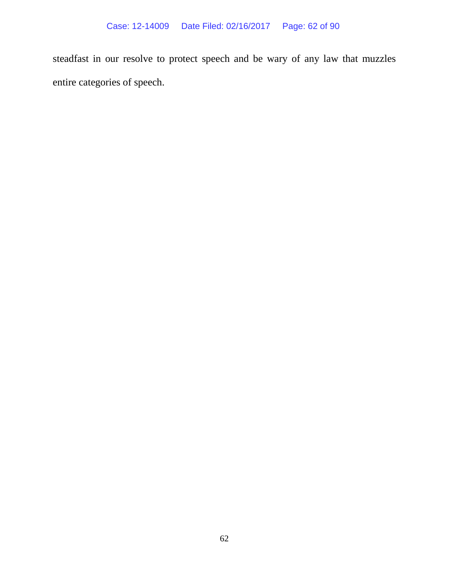steadfast in our resolve to protect speech and be wary of any law that muzzles entire categories of speech.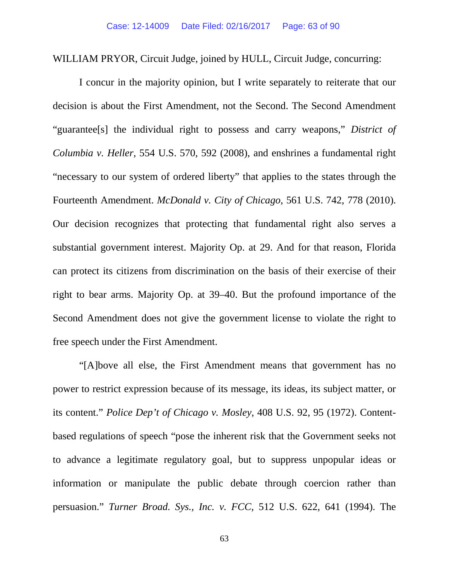WILLIAM PRYOR, Circuit Judge, joined by HULL, Circuit Judge, concurring:

I concur in the majority opinion, but I write separately to reiterate that our decision is about the First Amendment, not the Second. The Second Amendment "guarantee[s] the individual right to possess and carry weapons," *District of Columbia v. Heller*, 554 U.S. 570, 592 (2008), and enshrines a fundamental right "necessary to our system of ordered liberty" that applies to the states through the Fourteenth Amendment. *McDonald v. City of Chicago*, 561 U.S. 742, 778 (2010). Our decision recognizes that protecting that fundamental right also serves a substantial government interest. Majority Op. at 29. And for that reason, Florida can protect its citizens from discrimination on the basis of their exercise of their right to bear arms. Majority Op. at 39–40. But the profound importance of the Second Amendment does not give the government license to violate the right to free speech under the First Amendment.

"[A]bove all else, the First Amendment means that government has no power to restrict expression because of its message, its ideas, its subject matter, or its content." *Police Dep't of Chicago v. Mosley*, 408 U.S. 92, 95 (1972). Contentbased regulations of speech "pose the inherent risk that the Government seeks not to advance a legitimate regulatory goal, but to suppress unpopular ideas or information or manipulate the public debate through coercion rather than persuasion." *Turner Broad. Sys., Inc. v. FCC*, 512 U.S. 622, 641 (1994). The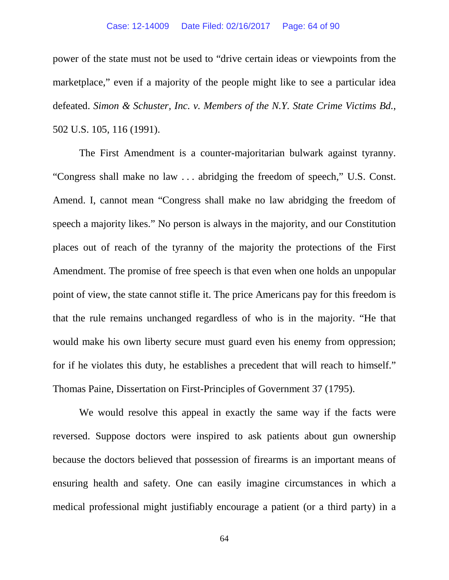power of the state must not be used to "drive certain ideas or viewpoints from the marketplace," even if a majority of the people might like to see a particular idea defeated. *Simon & Schuster, Inc. v. Members of the N.Y. State Crime Victims Bd.*, 502 U.S. 105, 116 (1991).

The First Amendment is a counter-majoritarian bulwark against tyranny. "Congress shall make no law . . . abridging the freedom of speech," U.S. Const. Amend. I, cannot mean "Congress shall make no law abridging the freedom of speech a majority likes." No person is always in the majority, and our Constitution places out of reach of the tyranny of the majority the protections of the First Amendment. The promise of free speech is that even when one holds an unpopular point of view, the state cannot stifle it. The price Americans pay for this freedom is that the rule remains unchanged regardless of who is in the majority. "He that would make his own liberty secure must guard even his enemy from oppression; for if he violates this duty, he establishes a precedent that will reach to himself." Thomas Paine, Dissertation on First-Principles of Government 37 (1795).

We would resolve this appeal in exactly the same way if the facts were reversed. Suppose doctors were inspired to ask patients about gun ownership because the doctors believed that possession of firearms is an important means of ensuring health and safety. One can easily imagine circumstances in which a medical professional might justifiably encourage a patient (or a third party) in a

64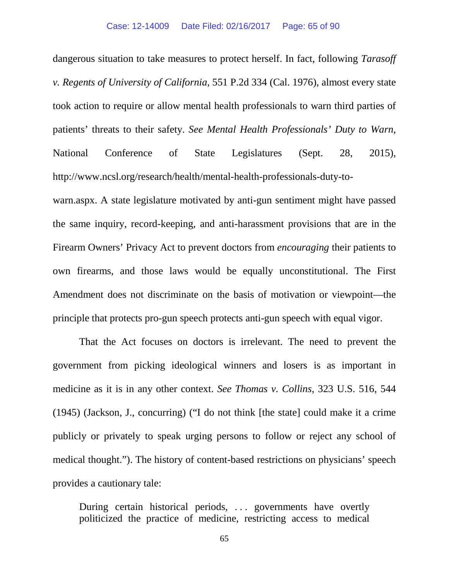dangerous situation to take measures to protect herself. In fact, following *Tarasoff v. Regents of University of California*, 551 P.2d 334 (Cal. 1976), almost every state took action to require or allow mental health professionals to warn third parties of patients' threats to their safety. *See Mental Health Professionals' Duty to Warn*, National Conference of State Legislatures (Sept. 28, 2015), http://www.ncsl.org/research/health/mental-health-professionals-duty-to-

warn.aspx. A state legislature motivated by anti-gun sentiment might have passed the same inquiry, record-keeping, and anti-harassment provisions that are in the Firearm Owners' Privacy Act to prevent doctors from *encouraging* their patients to own firearms, and those laws would be equally unconstitutional. The First Amendment does not discriminate on the basis of motivation or viewpoint—the principle that protects pro-gun speech protects anti-gun speech with equal vigor.

That the Act focuses on doctors is irrelevant. The need to prevent the government from picking ideological winners and losers is as important in medicine as it is in any other context. *See Thomas v. Collins*, 323 U.S. 516, 544 (1945) (Jackson, J., concurring) ("I do not think [the state] could make it a crime publicly or privately to speak urging persons to follow or reject any school of medical thought."). The history of content-based restrictions on physicians' speech provides a cautionary tale:

During certain historical periods, ... governments have overtly politicized the practice of medicine, restricting access to medical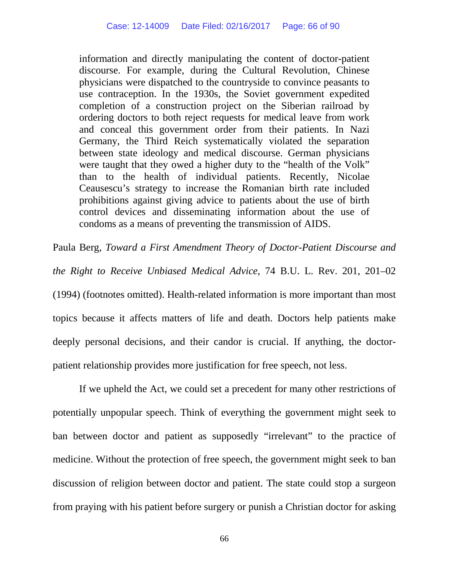information and directly manipulating the content of doctor-patient discourse. For example, during the Cultural Revolution, Chinese physicians were dispatched to the countryside to convince peasants to use contraception. In the 1930s, the Soviet government expedited completion of a construction project on the Siberian railroad by ordering doctors to both reject requests for medical leave from work and conceal this government order from their patients. In Nazi Germany, the Third Reich systematically violated the separation between state ideology and medical discourse. German physicians were taught that they owed a higher duty to the "health of the Volk" than to the health of individual patients. Recently, Nicolae Ceausescu's strategy to increase the Romanian birth rate included prohibitions against giving advice to patients about the use of birth control devices and disseminating information about the use of condoms as a means of preventing the transmission of AIDS.

Paula Berg, *Toward a First Amendment Theory of Doctor-Patient Discourse and* 

*the Right to Receive Unbiased Medical Advice*, 74 B.U. L. Rev. 201, 201–02 (1994) (footnotes omitted). Health-related information is more important than most topics because it affects matters of life and death. Doctors help patients make deeply personal decisions, and their candor is crucial. If anything, the doctorpatient relationship provides more justification for free speech, not less.

If we upheld the Act, we could set a precedent for many other restrictions of potentially unpopular speech. Think of everything the government might seek to ban between doctor and patient as supposedly "irrelevant" to the practice of medicine. Without the protection of free speech, the government might seek to ban discussion of religion between doctor and patient. The state could stop a surgeon from praying with his patient before surgery or punish a Christian doctor for asking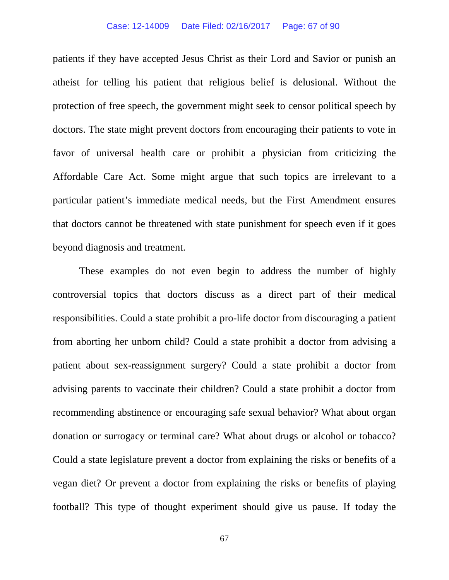### Case: 12-14009 Date Filed: 02/16/2017 Page: 67 of 90

patients if they have accepted Jesus Christ as their Lord and Savior or punish an atheist for telling his patient that religious belief is delusional. Without the protection of free speech, the government might seek to censor political speech by doctors. The state might prevent doctors from encouraging their patients to vote in favor of universal health care or prohibit a physician from criticizing the Affordable Care Act. Some might argue that such topics are irrelevant to a particular patient's immediate medical needs, but the First Amendment ensures that doctors cannot be threatened with state punishment for speech even if it goes beyond diagnosis and treatment.

These examples do not even begin to address the number of highly controversial topics that doctors discuss as a direct part of their medical responsibilities. Could a state prohibit a pro-life doctor from discouraging a patient from aborting her unborn child? Could a state prohibit a doctor from advising a patient about sex-reassignment surgery? Could a state prohibit a doctor from advising parents to vaccinate their children? Could a state prohibit a doctor from recommending abstinence or encouraging safe sexual behavior? What about organ donation or surrogacy or terminal care? What about drugs or alcohol or tobacco? Could a state legislature prevent a doctor from explaining the risks or benefits of a vegan diet? Or prevent a doctor from explaining the risks or benefits of playing football? This type of thought experiment should give us pause. If today the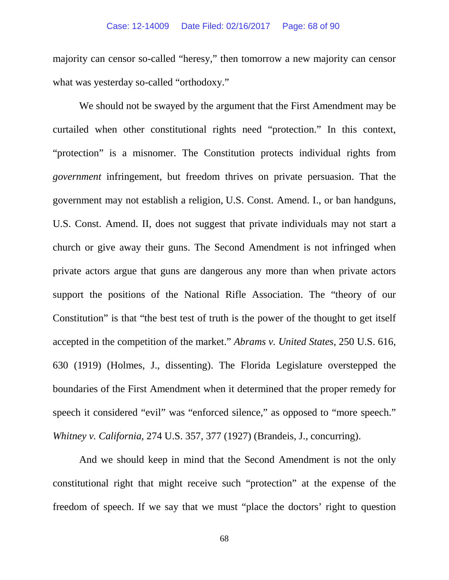majority can censor so-called "heresy," then tomorrow a new majority can censor what was yesterday so-called "orthodoxy."

We should not be swayed by the argument that the First Amendment may be curtailed when other constitutional rights need "protection." In this context, "protection" is a misnomer. The Constitution protects individual rights from *government* infringement, but freedom thrives on private persuasion. That the government may not establish a religion, U.S. Const. Amend. I., or ban handguns, U.S. Const. Amend. II, does not suggest that private individuals may not start a church or give away their guns. The Second Amendment is not infringed when private actors argue that guns are dangerous any more than when private actors support the positions of the National Rifle Association. The "theory of our Constitution" is that "the best test of truth is the power of the thought to get itself accepted in the competition of the market." *Abrams v. United States*, 250 U.S. 616, 630 (1919) (Holmes, J., dissenting). The Florida Legislature overstepped the boundaries of the First Amendment when it determined that the proper remedy for speech it considered "evil" was "enforced silence," as opposed to "more speech." *Whitney v. California*, 274 U.S. 357, 377 (1927) (Brandeis, J., concurring).

And we should keep in mind that the Second Amendment is not the only constitutional right that might receive such "protection" at the expense of the freedom of speech. If we say that we must "place the doctors' right to question

68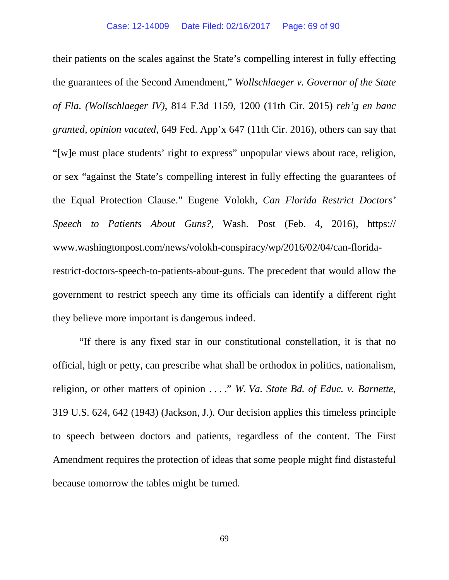their patients on the scales against the State's compelling interest in fully effecting the guarantees of the Second Amendment," *Wollschlaeger v. Governor of the State of Fla. (Wollschlaeger IV)*, 814 F.3d 1159, 1200 (11th Cir. 2015) *reh'g en banc granted, opinion vacated*, 649 Fed. App'x 647 (11th Cir. 2016), others can say that "[w]e must place students' right to express" unpopular views about race, religion, or sex "against the State's compelling interest in fully effecting the guarantees of the Equal Protection Clause." Eugene Volokh, *Can Florida Restrict Doctors' Speech to Patients About Guns?*, Wash. Post (Feb. 4, 2016), https:// www.washingtonpost.com/news/volokh-conspiracy/wp/2016/02/04/can-floridarestrict-doctors-speech-to-patients-about-guns. The precedent that would allow the government to restrict speech any time its officials can identify a different right they believe more important is dangerous indeed.

"If there is any fixed star in our constitutional constellation, it is that no official, high or petty, can prescribe what shall be orthodox in politics, nationalism, religion, or other matters of opinion . . . ." *W. Va. State Bd. of Educ. v. Barnette*, 319 U.S. 624, 642 (1943) (Jackson, J.). Our decision applies this timeless principle to speech between doctors and patients, regardless of the content. The First Amendment requires the protection of ideas that some people might find distasteful because tomorrow the tables might be turned.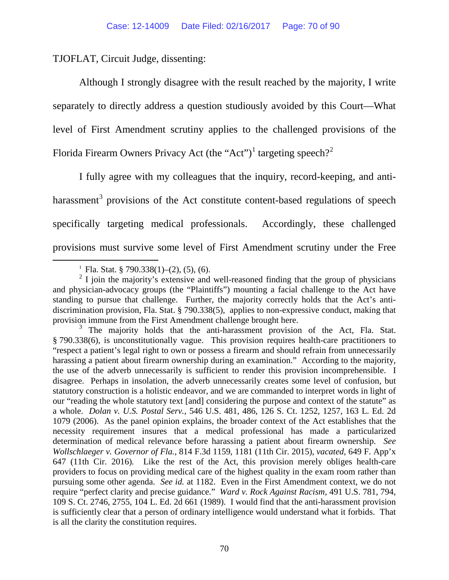TJOFLAT, Circuit Judge, dissenting:

Although I strongly disagree with the result reached by the majority, I write separately to directly address a question studiously avoided by this Court—What level of First Amendment scrutiny applies to the challenged provisions of the Florida Firearm Owners Privacy Act (the "Act")<sup>[1](#page-69-0)</sup> targeting speech?<sup>[2](#page-69-1)</sup>

I fully agree with my colleagues that the inquiry, record-keeping, and anti-harassment<sup>[3](#page-69-2)</sup> provisions of the Act constitute content-based regulations of speech specifically targeting medical professionals. Accordingly, these challenged provisions must survive some level of First Amendment scrutiny under the Free

<sup>&</sup>lt;sup>1</sup> Fla. Stat. § 790.338(1)–(2), (5), (6).

<span id="page-69-1"></span><span id="page-69-0"></span> $2\text{ I}$  join the majority's extensive and well-reasoned finding that the group of physicians and physician-advocacy groups (the "Plaintiffs") mounting a facial challenge to the Act have standing to pursue that challenge. Further, the majority correctly holds that the Act's antidiscrimination provision, Fla. Stat. § 790.338(5), applies to non-expressive conduct, making that provision immune from the First Amendment challenge brought here.

<span id="page-69-2"></span><sup>&</sup>lt;sup>3</sup> The majority holds that the anti-harassment provision of the Act, Fla. Stat. § 790.338(6), is unconstitutionally vague. This provision requires health-care practitioners to "respect a patient's legal right to own or possess a firearm and should refrain from unnecessarily harassing a patient about firearm ownership during an examination." According to the majority, the use of the adverb unnecessarily is sufficient to render this provision incomprehensible. I disagree. Perhaps in insolation, the adverb unnecessarily creates some level of confusion, but statutory construction is a holistic endeavor, and we are commanded to interpret words in light of our "reading the whole statutory text [and] considering the purpose and context of the statute" as a whole. *Dolan v. U.S. Postal Serv.*, 546 U.S. 481, 486, 126 S. Ct. 1252, 1257, 163 L. Ed. 2d 1079 (2006). As the panel opinion explains, the broader context of the Act establishes that the necessity requirement insures that a medical professional has made a particularized determination of medical relevance before harassing a patient about firearm ownership. *See Wollschlaeger v. Governor of Fla.*, 814 F.3d 1159, 1181 (11th Cir. 2015), *vacated*, 649 F. App'x 647 (11th Cir. 2016)*.* Like the rest of the Act, this provision merely obliges health-care providers to focus on providing medical care of the highest quality in the exam room rather than pursuing some other agenda. *See id.* at 1182. Even in the First Amendment context, we do not require "perfect clarity and precise guidance." *Ward v. Rock Against Racism*, 491 U.S. 781, 794, 109 S. Ct. 2746, 2755, 104 L. Ed. 2d 661 (1989). I would find that the anti-harassment provision is sufficiently clear that a person of ordinary intelligence would understand what it forbids. That is all the clarity the constitution requires.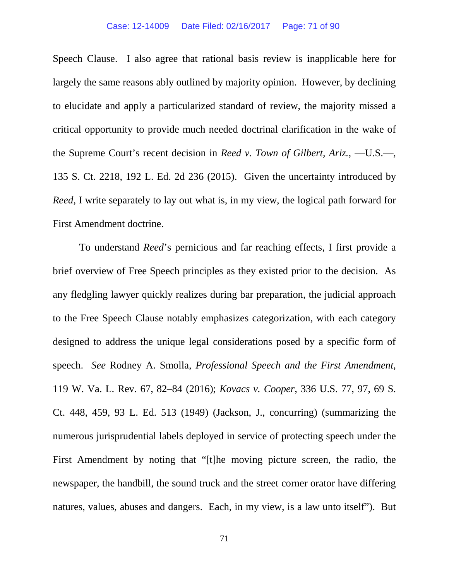Speech Clause. I also agree that rational basis review is inapplicable here for largely the same reasons ably outlined by majority opinion. However, by declining to elucidate and apply a particularized standard of review, the majority missed a critical opportunity to provide much needed doctrinal clarification in the wake of the Supreme Court's recent decision in *Reed v. Town of Gilbert, Ariz.*, —U.S.—, 135 S. Ct. 2218, 192 L. Ed. 2d 236 (2015). Given the uncertainty introduced by *Reed*, I write separately to lay out what is, in my view, the logical path forward for First Amendment doctrine.

To understand *Reed*'s pernicious and far reaching effects, I first provide a brief overview of Free Speech principles as they existed prior to the decision. As any fledgling lawyer quickly realizes during bar preparation, the judicial approach to the Free Speech Clause notably emphasizes categorization, with each category designed to address the unique legal considerations posed by a specific form of speech. *See* Rodney A. Smolla, *Professional Speech and the First Amendment*, 119 W. Va. L. Rev. 67, 82–84 (2016); *Kovacs v. Cooper*, 336 U.S. 77, 97, 69 S. Ct. 448, 459, 93 L. Ed. 513 (1949) (Jackson, J., concurring) (summarizing the numerous jurisprudential labels deployed in service of protecting speech under the First Amendment by noting that "[t]he moving picture screen, the radio, the newspaper, the handbill, the sound truck and the street corner orator have differing natures, values, abuses and dangers. Each, in my view, is a law unto itself"). But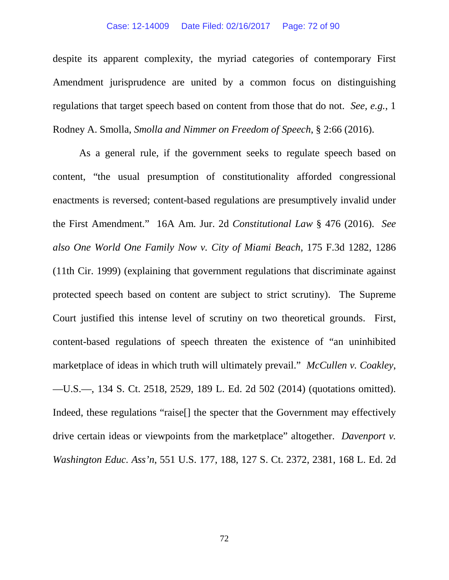### Case: 12-14009 Date Filed: 02/16/2017 Page: 72 of 90

despite its apparent complexity, the myriad categories of contemporary First Amendment jurisprudence are united by a common focus on distinguishing regulations that target speech based on content from those that do not. *See, e.g.*, 1 Rodney A. Smolla, *Smolla and Nimmer on Freedom of Speech*, § 2:66 (2016).

As a general rule, if the government seeks to regulate speech based on content, "the usual presumption of constitutionality afforded congressional enactments is reversed; content-based regulations are presumptively invalid under the First Amendment." 16A Am. Jur. 2d *Constitutional Law* § 476 (2016). *See also One World One Family Now v. City of Miami Beach*, 175 F.3d 1282, 1286 (11th Cir. 1999) (explaining that government regulations that discriminate against protected speech based on content are subject to strict scrutiny). The Supreme Court justified this intense level of scrutiny on two theoretical grounds. First, content-based regulations of speech threaten the existence of "an uninhibited marketplace of ideas in which truth will ultimately prevail." *McCullen v. Coakley*, —U.S.—, 134 S. Ct. 2518, 2529, 189 L. Ed. 2d 502 (2014) (quotations omitted). Indeed, these regulations "raise<sup>[]</sup> the specter that the Government may effectively drive certain ideas or viewpoints from the marketplace" altogether. *Davenport v. Washington Educ. Ass'n*, 551 U.S. 177, 188, 127 S. Ct. 2372, 2381, 168 L. Ed. 2d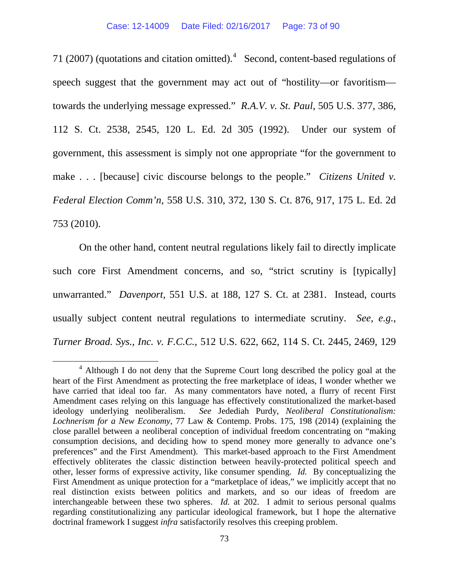71 (2007) (quotations and citation omitted). $4$  Second, content-based regulations of speech suggest that the government may act out of "hostility—or favoritism towards the underlying message expressed." *R.A.V. v. St. Paul*, 505 U.S. 377, 386, 112 S. Ct. 2538, 2545, 120 L. Ed. 2d 305 (1992). Under our system of government, this assessment is simply not one appropriate "for the government to make . . . [because] civic discourse belongs to the people." *Citizens United v. Federal Election Comm'n*, 558 U.S. 310, 372, 130 S. Ct. 876, 917, 175 L. Ed. 2d 753 (2010).

On the other hand, content neutral regulations likely fail to directly implicate such core First Amendment concerns, and so, "strict scrutiny is [typically] unwarranted." *Davenport,* 551 U.S. at 188, 127 S. Ct. at 2381. Instead, courts usually subject content neutral regulations to intermediate scrutiny. *See, e.g.*, *Turner Broad. Sys., Inc. v. F.C.C.*, 512 U.S. 622, 662, 114 S. Ct. 2445, 2469, 129

<span id="page-72-0"></span> $4$  Although I do not deny that the Supreme Court long described the policy goal at the heart of the First Amendment as protecting the free marketplace of ideas, I wonder whether we have carried that ideal too far. As many commentators have noted, a flurry of recent First Amendment cases relying on this language has effectively constitutionalized the market-based ideology underlying neoliberalism. *See* Jedediah Purdy, *Neoliberal Constitutionalism: Lochnerism for a New Economy*, 77 Law & Contemp. Probs. 175, 198 (2014) (explaining the close parallel between a neoliberal conception of individual freedom concentrating on "making consumption decisions, and deciding how to spend money more generally to advance one's preferences" and the First Amendment). This market-based approach to the First Amendment effectively obliterates the classic distinction between heavily-protected political speech and other, lesser forms of expressive activity, like consumer spending. *Id.* By conceptualizing the First Amendment as unique protection for a "marketplace of ideas," we implicitly accept that no real distinction exists between politics and markets, and so our ideas of freedom are interchangeable between these two spheres. *Id.* at 202. I admit to serious personal qualms regarding constitutionalizing any particular ideological framework, but I hope the alternative doctrinal framework I suggest *infra* satisfactorily resolves this creeping problem.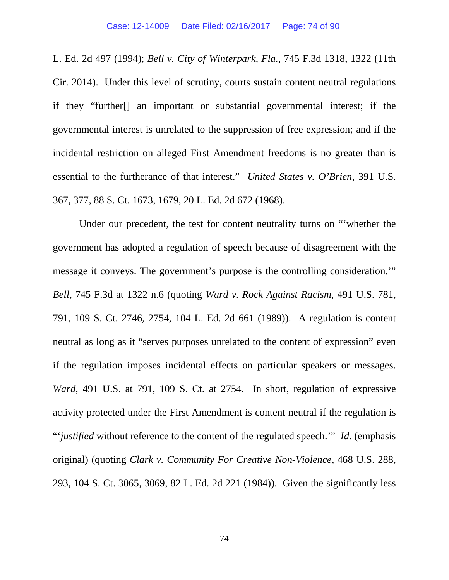L. Ed. 2d 497 (1994); *Bell v. City of Winterpark, Fla.*, 745 F.3d 1318, 1322 (11th Cir. 2014). Under this level of scrutiny, courts sustain content neutral regulations if they "further[] an important or substantial governmental interest; if the governmental interest is unrelated to the suppression of free expression; and if the incidental restriction on alleged First Amendment freedoms is no greater than is essential to the furtherance of that interest." *United States v. O'Brien*, 391 U.S. 367, 377, 88 S. Ct. 1673, 1679, 20 L. Ed. 2d 672 (1968).

Under our precedent, the test for content neutrality turns on "'whether the government has adopted a regulation of speech because of disagreement with the message it conveys. The government's purpose is the controlling consideration.'" *Bell*, 745 F.3d at 1322 n.6 (quoting *Ward v. Rock Against Racism*, 491 U.S. 781, 791, 109 S. Ct. 2746, 2754, 104 L. Ed. 2d 661 (1989)). A regulation is content neutral as long as it "serves purposes unrelated to the content of expression" even if the regulation imposes incidental effects on particular speakers or messages. *Ward*, 491 U.S. at 791, 109 S. Ct. at 2754. In short, regulation of expressive activity protected under the First Amendment is content neutral if the regulation is "'*justified* without reference to the content of the regulated speech.'" *Id.* (emphasis original) (quoting *Clark v. Community For Creative Non-Violence*, 468 U.S. 288, 293, 104 S. Ct. 3065, 3069, 82 L. Ed. 2d 221 (1984)). Given the significantly less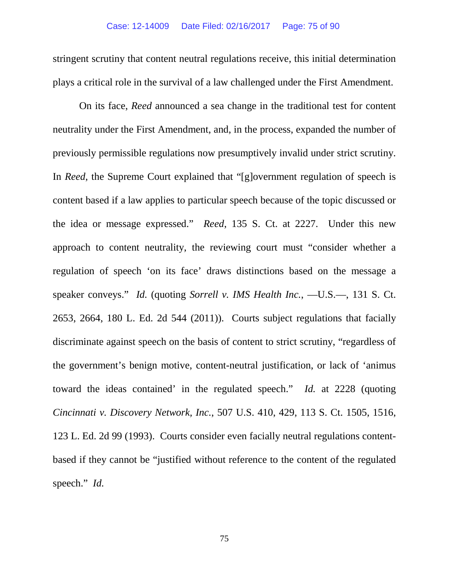stringent scrutiny that content neutral regulations receive, this initial determination plays a critical role in the survival of a law challenged under the First Amendment.

On its face, *Reed* announced a sea change in the traditional test for content neutrality under the First Amendment, and, in the process, expanded the number of previously permissible regulations now presumptively invalid under strict scrutiny. In *Reed*, the Supreme Court explained that "[g]overnment regulation of speech is content based if a law applies to particular speech because of the topic discussed or the idea or message expressed." *Reed*, 135 S. Ct. at 2227. Under this new approach to content neutrality, the reviewing court must "consider whether a regulation of speech 'on its face' draws distinctions based on the message a speaker conveys." *Id.* (quoting *Sorrell v. IMS Health Inc.*, —U.S.—, 131 S. Ct. 2653, 2664, 180 L. Ed. 2d 544 (2011)). Courts subject regulations that facially discriminate against speech on the basis of content to strict scrutiny, "regardless of the government's benign motive, content-neutral justification, or lack of 'animus toward the ideas contained' in the regulated speech." *Id.* at 2228 (quoting *Cincinnati v. Discovery Network, Inc.*, 507 U.S. 410, 429, 113 S. Ct. 1505, 1516, 123 L. Ed. 2d 99 (1993). Courts consider even facially neutral regulations contentbased if they cannot be "justified without reference to the content of the regulated speech." *Id.*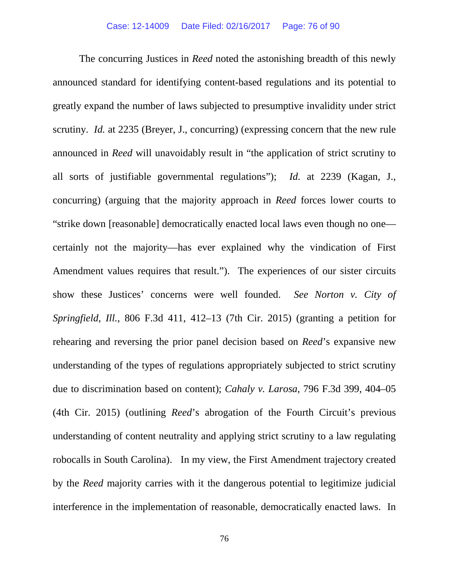The concurring Justices in *Reed* noted the astonishing breadth of this newly announced standard for identifying content-based regulations and its potential to greatly expand the number of laws subjected to presumptive invalidity under strict scrutiny. *Id.* at 2235 (Breyer, J., concurring) (expressing concern that the new rule announced in *Reed* will unavoidably result in "the application of strict scrutiny to all sorts of justifiable governmental regulations"); *Id.* at 2239 (Kagan, J., concurring) (arguing that the majority approach in *Reed* forces lower courts to "strike down [reasonable] democratically enacted local laws even though no one certainly not the majority—has ever explained why the vindication of First Amendment values requires that result."). The experiences of our sister circuits show these Justices' concerns were well founded. *See Norton v. City of Springfield, Ill.*, 806 F.3d 411, 412–13 (7th Cir. 2015) (granting a petition for rehearing and reversing the prior panel decision based on *Reed*'s expansive new understanding of the types of regulations appropriately subjected to strict scrutiny due to discrimination based on content); *Cahaly v. Larosa*, 796 F.3d 399, 404–05 (4th Cir. 2015) (outlining *Reed*'s abrogation of the Fourth Circuit's previous understanding of content neutrality and applying strict scrutiny to a law regulating robocalls in South Carolina). In my view, the First Amendment trajectory created by the *Reed* majority carries with it the dangerous potential to legitimize judicial interference in the implementation of reasonable, democratically enacted laws. In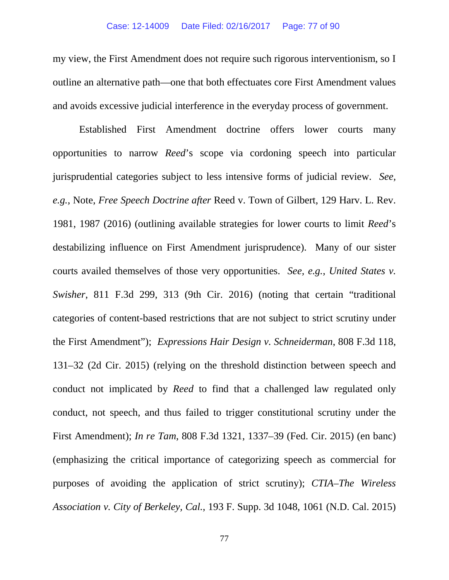my view, the First Amendment does not require such rigorous interventionism, so I outline an alternative path—one that both effectuates core First Amendment values and avoids excessive judicial interference in the everyday process of government.

Established First Amendment doctrine offers lower courts many opportunities to narrow *Reed*'s scope via cordoning speech into particular jurisprudential categories subject to less intensive forms of judicial review. *See, e.g.*, Note, *Free Speech Doctrine after* Reed v. Town of Gilbert, 129 Harv. L. Rev. 1981, 1987 (2016) (outlining available strategies for lower courts to limit *Reed*'s destabilizing influence on First Amendment jurisprudence). Many of our sister courts availed themselves of those very opportunities. *See, e.g.*, *United States v. Swisher*, 811 F.3d 299, 313 (9th Cir. 2016) (noting that certain "traditional categories of content-based restrictions that are not subject to strict scrutiny under the First Amendment"); *Expressions Hair Design v. Schneiderman*, 808 F.3d 118, 131–32 (2d Cir. 2015) (relying on the threshold distinction between speech and conduct not implicated by *Reed* to find that a challenged law regulated only conduct, not speech, and thus failed to trigger constitutional scrutiny under the First Amendment); *In re Tam*, 808 F.3d 1321, 1337–39 (Fed. Cir. 2015) (en banc) (emphasizing the critical importance of categorizing speech as commercial for purposes of avoiding the application of strict scrutiny); *CTIA–The Wireless Association v. City of Berkeley, Cal.*, 193 F. Supp. 3d 1048, 1061 (N.D. Cal. 2015)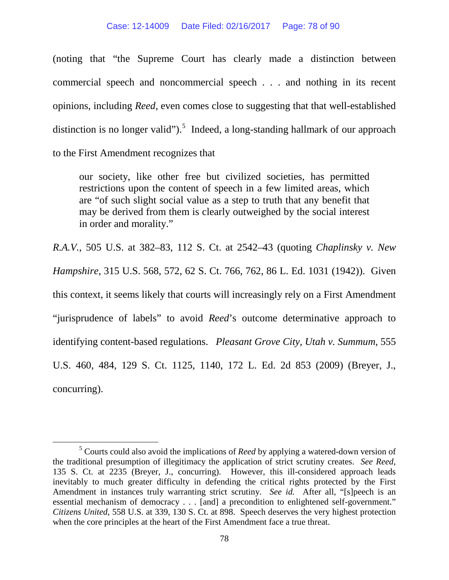(noting that "the Supreme Court has clearly made a distinction between commercial speech and noncommercial speech . . . and nothing in its recent opinions, including *Reed*, even comes close to suggesting that that well-established distinction is no longer valid").<sup>[5](#page-77-0)</sup> Indeed, a long-standing hallmark of our approach to the First Amendment recognizes that

our society, like other free but civilized societies, has permitted restrictions upon the content of speech in a few limited areas, which are "of such slight social value as a step to truth that any benefit that may be derived from them is clearly outweighed by the social interest in order and morality."

*R.A.V.*, 505 U.S. at 382–83, 112 S. Ct. at 2542–43 (quoting *Chaplinsky v. New Hampshire*, 315 U.S. 568, 572, 62 S. Ct. 766, 762, 86 L. Ed. 1031 (1942)). Given this context, it seems likely that courts will increasingly rely on a First Amendment "jurisprudence of labels" to avoid *Reed*'s outcome determinative approach to identifying content-based regulations. *Pleasant Grove City, Utah v. Summum*, 555 U.S. 460, 484, 129 S. Ct. 1125, 1140, 172 L. Ed. 2d 853 (2009) (Breyer, J., concurring).

<span id="page-77-0"></span> <sup>5</sup> Courts could also avoid the implications of *Reed* by applying a watered-down version of the traditional presumption of illegitimacy the application of strict scrutiny creates. *See Reed*, 135 S. Ct. at 2235 (Breyer, J., concurring). However, this ill-considered approach leads inevitably to much greater difficulty in defending the critical rights protected by the First Amendment in instances truly warranting strict scrutiny. *See id.* After all, "[s]peech is an essential mechanism of democracy . . . [and] a precondition to enlightened self-government." *Citizens United*, 558 U.S. at 339, 130 S. Ct. at 898. Speech deserves the very highest protection when the core principles at the heart of the First Amendment face a true threat.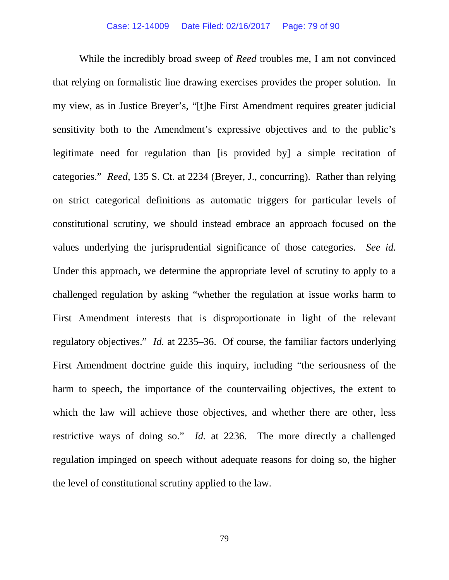While the incredibly broad sweep of *Reed* troubles me, I am not convinced that relying on formalistic line drawing exercises provides the proper solution. In my view, as in Justice Breyer's, "[t]he First Amendment requires greater judicial sensitivity both to the Amendment's expressive objectives and to the public's legitimate need for regulation than [is provided by] a simple recitation of categories." *Reed*, 135 S. Ct. at 2234 (Breyer, J., concurring). Rather than relying on strict categorical definitions as automatic triggers for particular levels of constitutional scrutiny, we should instead embrace an approach focused on the values underlying the jurisprudential significance of those categories. *See id.*  Under this approach, we determine the appropriate level of scrutiny to apply to a challenged regulation by asking "whether the regulation at issue works harm to First Amendment interests that is disproportionate in light of the relevant regulatory objectives." *Id.* at 2235–36. Of course, the familiar factors underlying First Amendment doctrine guide this inquiry, including "the seriousness of the harm to speech, the importance of the countervailing objectives, the extent to which the law will achieve those objectives, and whether there are other, less restrictive ways of doing so." *Id.* at 2236. The more directly a challenged regulation impinged on speech without adequate reasons for doing so, the higher the level of constitutional scrutiny applied to the law.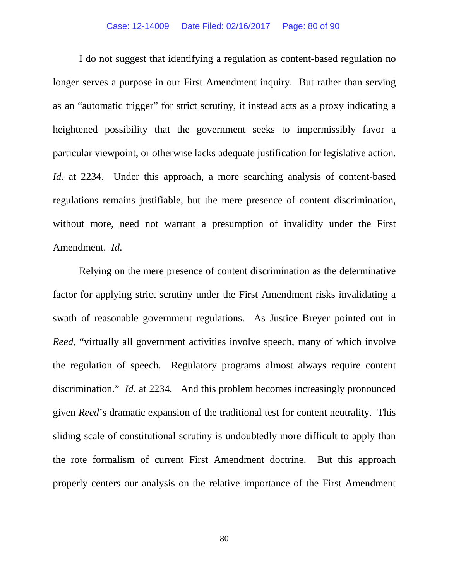I do not suggest that identifying a regulation as content-based regulation no longer serves a purpose in our First Amendment inquiry. But rather than serving as an "automatic trigger" for strict scrutiny, it instead acts as a proxy indicating a heightened possibility that the government seeks to impermissibly favor a particular viewpoint, or otherwise lacks adequate justification for legislative action. *Id.* at 2234. Under this approach, a more searching analysis of content-based regulations remains justifiable, but the mere presence of content discrimination, without more, need not warrant a presumption of invalidity under the First Amendment. *Id.* 

Relying on the mere presence of content discrimination as the determinative factor for applying strict scrutiny under the First Amendment risks invalidating a swath of reasonable government regulations. As Justice Breyer pointed out in *Reed*, "virtually all government activities involve speech, many of which involve the regulation of speech. Regulatory programs almost always require content discrimination." *Id.* at 2234. And this problem becomes increasingly pronounced given *Reed*'s dramatic expansion of the traditional test for content neutrality. This sliding scale of constitutional scrutiny is undoubtedly more difficult to apply than the rote formalism of current First Amendment doctrine. But this approach properly centers our analysis on the relative importance of the First Amendment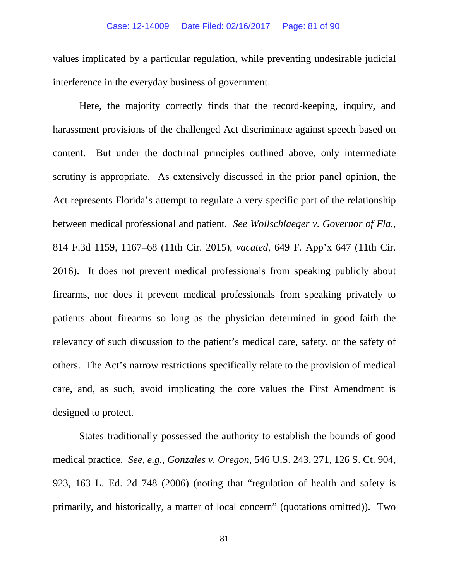values implicated by a particular regulation, while preventing undesirable judicial interference in the everyday business of government.

Here, the majority correctly finds that the record-keeping, inquiry, and harassment provisions of the challenged Act discriminate against speech based on content. But under the doctrinal principles outlined above, only intermediate scrutiny is appropriate. As extensively discussed in the prior panel opinion, the Act represents Florida's attempt to regulate a very specific part of the relationship between medical professional and patient. *See Wollschlaeger v. Governor of Fla.*, 814 F.3d 1159, 1167–68 (11th Cir. 2015), *vacated*, 649 F. App'x 647 (11th Cir. 2016). It does not prevent medical professionals from speaking publicly about firearms, nor does it prevent medical professionals from speaking privately to patients about firearms so long as the physician determined in good faith the relevancy of such discussion to the patient's medical care, safety, or the safety of others. The Act's narrow restrictions specifically relate to the provision of medical care, and, as such, avoid implicating the core values the First Amendment is designed to protect.

States traditionally possessed the authority to establish the bounds of good medical practice. *See, e.g.*, *Gonzales v. Oregon*, 546 U.S. 243, 271, 126 S. Ct. 904, 923, 163 L. Ed. 2d 748 (2006) (noting that "regulation of health and safety is primarily, and historically, a matter of local concern" (quotations omitted)). Two

81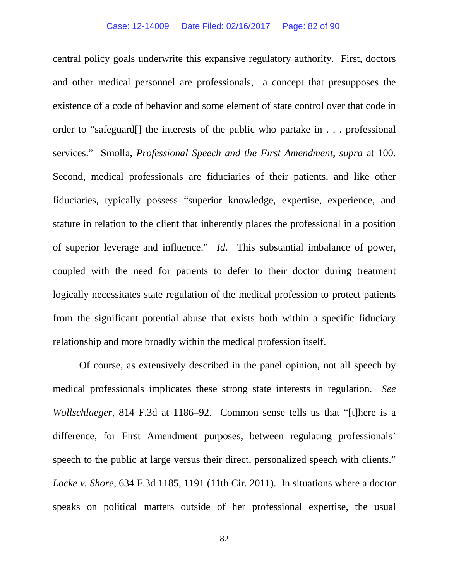central policy goals underwrite this expansive regulatory authority. First, doctors and other medical personnel are professionals, a concept that presupposes the existence of a code of behavior and some element of state control over that code in order to "safeguard[] the interests of the public who partake in . . . professional services." Smolla, *Professional Speech and the First Amendment*, *supra* at 100. Second, medical professionals are fiduciaries of their patients, and like other fiduciaries, typically possess "superior knowledge, expertise, experience, and stature in relation to the client that inherently places the professional in a position of superior leverage and influence." *Id*. This substantial imbalance of power, coupled with the need for patients to defer to their doctor during treatment logically necessitates state regulation of the medical profession to protect patients from the significant potential abuse that exists both within a specific fiduciary relationship and more broadly within the medical profession itself.

Of course, as extensively described in the panel opinion, not all speech by medical professionals implicates these strong state interests in regulation. *See Wollschlaeger*, 814 F.3d at 1186–92. Common sense tells us that "[t]here is a difference, for First Amendment purposes, between regulating professionals' speech to the public at large versus their direct, personalized speech with clients." *Locke v. Shore*, 634 F.3d 1185, 1191 (11th Cir. 2011). In situations where a doctor speaks on political matters outside of her professional expertise, the usual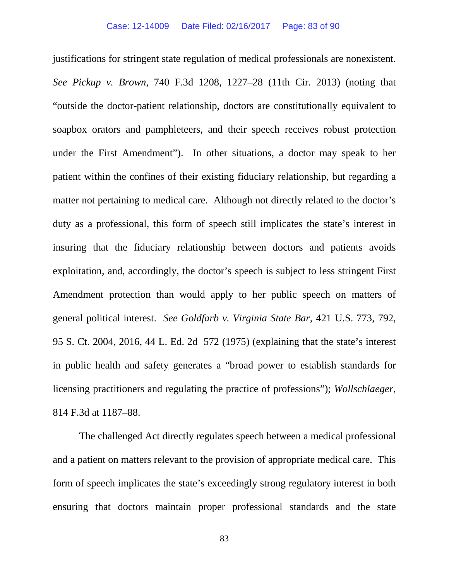justifications for stringent state regulation of medical professionals are nonexistent. *See Pickup v. Brown*, 740 F.3d 1208, 1227–28 (11th Cir. 2013) (noting that "outside the doctor-patient relationship, doctors are constitutionally equivalent to soapbox orators and pamphleteers, and their speech receives robust protection under the First Amendment"). In other situations, a doctor may speak to her patient within the confines of their existing fiduciary relationship, but regarding a matter not pertaining to medical care. Although not directly related to the doctor's duty as a professional, this form of speech still implicates the state's interest in insuring that the fiduciary relationship between doctors and patients avoids exploitation, and, accordingly, the doctor's speech is subject to less stringent First Amendment protection than would apply to her public speech on matters of general political interest. *See Goldfarb v. Virginia State Bar*, 421 U.S. 773, 792, 95 S. Ct. 2004, 2016, 44 L. Ed. 2d 572 (1975) (explaining that the state's interest in public health and safety generates a "broad power to establish standards for licensing practitioners and regulating the practice of professions"); *Wollschlaeger*, 814 F.3d at 1187–88.

The challenged Act directly regulates speech between a medical professional and a patient on matters relevant to the provision of appropriate medical care. This form of speech implicates the state's exceedingly strong regulatory interest in both ensuring that doctors maintain proper professional standards and the state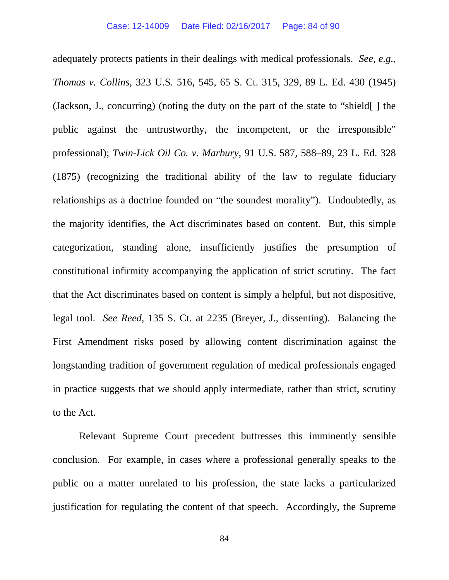adequately protects patients in their dealings with medical professionals. *See, e.g.*, *Thomas v. Collins*, 323 U.S. 516, 545, 65 S. Ct. 315, 329, 89 L. Ed. 430 (1945) (Jackson, J., concurring) (noting the duty on the part of the state to "shield[ ] the public against the untrustworthy, the incompetent, or the irresponsible" professional); *Twin-Lick Oil Co. v. Marbury*, 91 U.S. 587, 588–89, 23 L. Ed. 328 (1875) (recognizing the traditional ability of the law to regulate fiduciary relationships as a doctrine founded on "the soundest morality"). Undoubtedly, as the majority identifies, the Act discriminates based on content. But, this simple categorization, standing alone, insufficiently justifies the presumption of constitutional infirmity accompanying the application of strict scrutiny. The fact that the Act discriminates based on content is simply a helpful, but not dispositive, legal tool. *See Reed*, 135 S. Ct. at 2235 (Breyer, J., dissenting). Balancing the First Amendment risks posed by allowing content discrimination against the longstanding tradition of government regulation of medical professionals engaged in practice suggests that we should apply intermediate, rather than strict, scrutiny to the Act.

Relevant Supreme Court precedent buttresses this imminently sensible conclusion. For example, in cases where a professional generally speaks to the public on a matter unrelated to his profession, the state lacks a particularized justification for regulating the content of that speech. Accordingly, the Supreme

84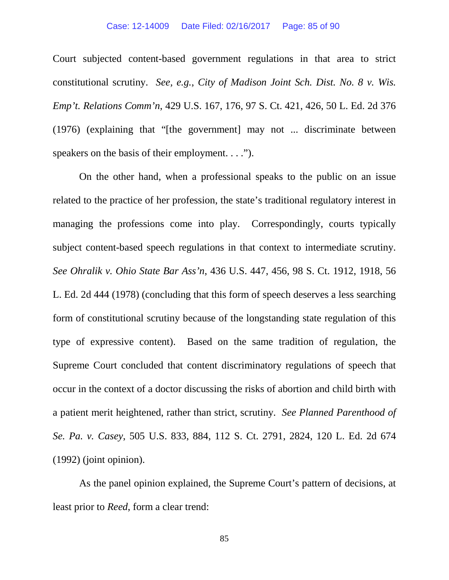Court subjected content-based government regulations in that area to strict constitutional scrutiny. *See, e.g.*, *City of Madison Joint Sch. Dist. No. 8 v. Wis. Emp't. Relations Comm'n*, 429 U.S. 167, 176, 97 S. Ct. 421, 426, 50 L. Ed. 2d 376 (1976) (explaining that "[the government] may not ... discriminate between speakers on the basis of their employment. . . .").

On the other hand, when a professional speaks to the public on an issue related to the practice of her profession, the state's traditional regulatory interest in managing the professions come into play. Correspondingly, courts typically subject content-based speech regulations in that context to intermediate scrutiny. *See Ohralik v. Ohio State Bar Ass'n*, 436 U.S. 447, 456, 98 S. Ct. 1912, 1918, 56 L. Ed. 2d 444 (1978) (concluding that this form of speech deserves a less searching form of constitutional scrutiny because of the longstanding state regulation of this type of expressive content). Based on the same tradition of regulation, the Supreme Court concluded that content discriminatory regulations of speech that occur in the context of a doctor discussing the risks of abortion and child birth with a patient merit heightened, rather than strict, scrutiny. *See Planned Parenthood of Se. Pa. v. Casey*, 505 U.S. 833, 884, 112 S. Ct. 2791, 2824, 120 L. Ed. 2d 674 (1992) (joint opinion).

As the panel opinion explained, the Supreme Court's pattern of decisions, at least prior to *Reed*, form a clear trend: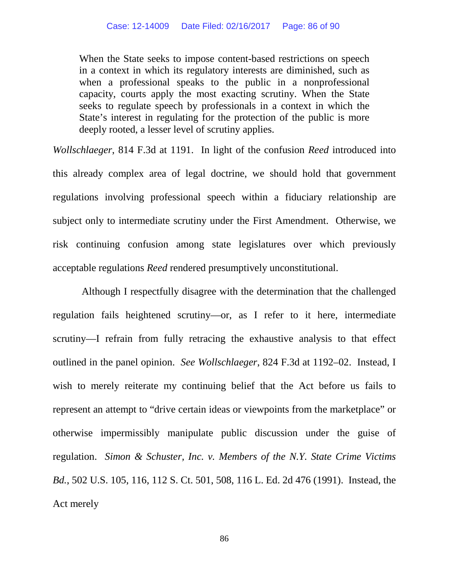When the State seeks to impose content-based restrictions on speech in a context in which its regulatory interests are diminished, such as when a professional speaks to the public in a nonprofessional capacity, courts apply the most exacting scrutiny. When the State seeks to regulate speech by professionals in a context in which the State's interest in regulating for the protection of the public is more deeply rooted, a lesser level of scrutiny applies.

*Wollschlaeger*, 814 F.3d at 1191. In light of the confusion *Reed* introduced into this already complex area of legal doctrine, we should hold that government regulations involving professional speech within a fiduciary relationship are subject only to intermediate scrutiny under the First Amendment. Otherwise, we risk continuing confusion among state legislatures over which previously acceptable regulations *Reed* rendered presumptively unconstitutional.

Although I respectfully disagree with the determination that the challenged regulation fails heightened scrutiny—or, as I refer to it here, intermediate scrutiny—I refrain from fully retracing the exhaustive analysis to that effect outlined in the panel opinion. *See Wollschlaeger*, 824 F.3d at 1192–02. Instead, I wish to merely reiterate my continuing belief that the Act before us fails to represent an attempt to "drive certain ideas or viewpoints from the marketplace" or otherwise impermissibly manipulate public discussion under the guise of regulation. *Simon & Schuster, Inc. v. Members of the N.Y. State Crime Victims Bd.*, 502 U.S. 105, 116, 112 S. Ct. 501, 508, 116 L. Ed. 2d 476 (1991). Instead, the Act merely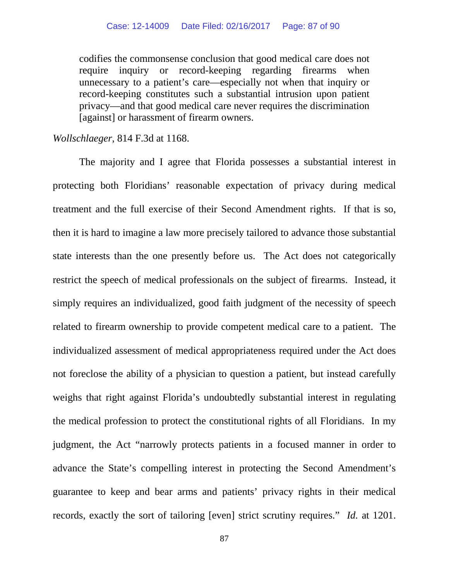codifies the commonsense conclusion that good medical care does not require inquiry or record-keeping regarding firearms when unnecessary to a patient's care—especially not when that inquiry or record-keeping constitutes such a substantial intrusion upon patient privacy—and that good medical care never requires the discrimination [against] or harassment of firearm owners.

*Wollschlaeger*, 814 F.3d at 1168.

The majority and I agree that Florida possesses a substantial interest in protecting both Floridians' reasonable expectation of privacy during medical treatment and the full exercise of their Second Amendment rights. If that is so, then it is hard to imagine a law more precisely tailored to advance those substantial state interests than the one presently before us. The Act does not categorically restrict the speech of medical professionals on the subject of firearms. Instead, it simply requires an individualized, good faith judgment of the necessity of speech related to firearm ownership to provide competent medical care to a patient. The individualized assessment of medical appropriateness required under the Act does not foreclose the ability of a physician to question a patient, but instead carefully weighs that right against Florida's undoubtedly substantial interest in regulating the medical profession to protect the constitutional rights of all Floridians. In my judgment, the Act "narrowly protects patients in a focused manner in order to advance the State's compelling interest in protecting the Second Amendment's guarantee to keep and bear arms and patients' privacy rights in their medical records, exactly the sort of tailoring [even] strict scrutiny requires." *Id.* at 1201.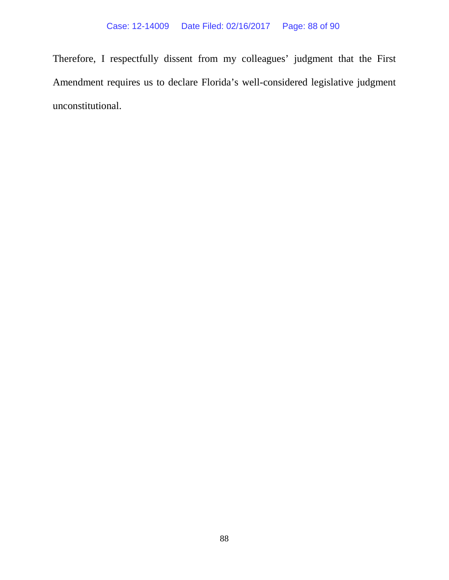Therefore, I respectfully dissent from my colleagues' judgment that the First Amendment requires us to declare Florida's well-considered legislative judgment unconstitutional.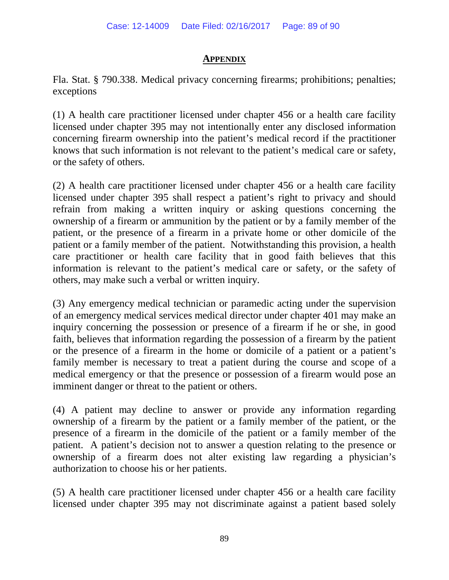## **APPENDIX**

Fla. Stat. § 790.338. Medical privacy concerning firearms; prohibitions; penalties; exceptions

(1) A health care practitioner licensed under chapter 456 or a health care facility licensed under chapter 395 may not intentionally enter any disclosed information concerning firearm ownership into the patient's medical record if the practitioner knows that such information is not relevant to the patient's medical care or safety, or the safety of others.

(2) A health care practitioner licensed under chapter 456 or a health care facility licensed under chapter 395 shall respect a patient's right to privacy and should refrain from making a written inquiry or asking questions concerning the ownership of a firearm or ammunition by the patient or by a family member of the patient, or the presence of a firearm in a private home or other domicile of the patient or a family member of the patient. Notwithstanding this provision, a health care practitioner or health care facility that in good faith believes that this information is relevant to the patient's medical care or safety, or the safety of others, may make such a verbal or written inquiry.

(3) Any emergency medical technician or paramedic acting under the supervision of an emergency medical services medical director under chapter 401 may make an inquiry concerning the possession or presence of a firearm if he or she, in good faith, believes that information regarding the possession of a firearm by the patient or the presence of a firearm in the home or domicile of a patient or a patient's family member is necessary to treat a patient during the course and scope of a medical emergency or that the presence or possession of a firearm would pose an imminent danger or threat to the patient or others.

(4) A patient may decline to answer or provide any information regarding ownership of a firearm by the patient or a family member of the patient, or the presence of a firearm in the domicile of the patient or a family member of the patient. A patient's decision not to answer a question relating to the presence or ownership of a firearm does not alter existing law regarding a physician's authorization to choose his or her patients.

(5) A health care practitioner licensed under chapter 456 or a health care facility licensed under chapter 395 may not discriminate against a patient based solely